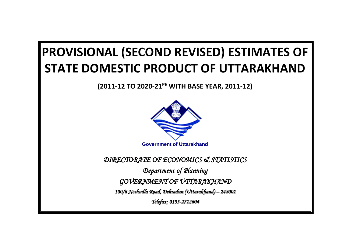# **PROVISIONAL (SECOND REVISED) ESTIMATES OF STATE DOMESTIC PRODUCT OF UTTARAKHAND**

**(2011-12 TO 2020-21PE WITH BASE YEAR, 2011-12)**



*DIRECTORATE OF ECONOMICS & STATISTICS* 

*Department of Planning GOVERNMENT OF UTTARAKHAND* 

*100/6 Neshvilla Road, Dehradun (Uttarakhand) – 248001* 

*Telefax: 0135-2712604*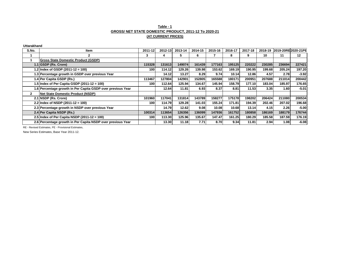## **Table - 1 GROSS/ NET STATE DOMESTIC PRODUCT, 2011-12 To 2020-21 (AT CURRENT PRICES)**

#### **Uttarakhand**

| S.No.        | Item                                                        | 2011-12 | 2012-13 | 2013-14 | 2014-15 | 2015-16 | 2016-17 | 2017-18 |        | 2018-19 2019-20RE2020-21PE |         |
|--------------|-------------------------------------------------------------|---------|---------|---------|---------|---------|---------|---------|--------|----------------------------|---------|
|              |                                                             | 3       |         | 5       | 6       |         | 8       | 9       | 10     | 11                         | 12      |
|              | <b>Gross State Domestic Product (GSDP)</b>                  |         |         |         |         |         |         |         |        |                            |         |
|              | 1.1 GSDP (Rs. Crore)                                        | 115328  | 1316131 | 149074  | 161439  | 177163  | 195125  | 220222  | 230285 | 236694                     | 227421  |
|              | 1.2 Index of GSDP (2011-12 = 100)                           | 100     | 114.12  | 129.26  | 139.98  | 153.621 | 169.19  | 190.95  | 199.68 | 205.24                     | 197.20  |
|              | 1.3 Percentage growth in GSDP over previous Year            |         | 14.12   | 13.27   | 8.29    | 9.74    | 10.14   | 12.86   | 4.57   | 2.78                       | $-3.92$ |
|              | 1.4 Per Capita GSDP (Rs.)                                   | 113467  | 127804  | 142901  | 152805  | 165588  | 180171  | 200951  | 207688 | 211014                     | 200442  |
|              | 1.5 Index of Per Capita GSDP (2011-12 = 100)                | 100     | 112.64  | 125.94  | 134.67  | 145.94  | 158.79  | 177.10  | 183.04 | 185.97                     | 176.65  |
|              | 1.6 Percentage growth in Per Capita GSDP over previous Year |         | 12.64   | 11.81   | 6.93    | 8.37    | 8.81    | 11.53   | 3.35   | 1.60                       | $-5.01$ |
| $\mathbf{2}$ | Net State Domestic Product (NSDP)                           |         |         |         |         |         |         |         |        |                            |         |
|              | 2.1 NSDP (Rs. Crore)                                        | 101960  | 117041  | 131814  | 143789  | 158277  | 175178  | 198202  | 206424 | 211080                     | 200534  |
|              | 2.2 Index of NSDP $(2011-12 = 100)$                         | 100     | 114.79  | 129.28  | 141.03  | 155.24  | 171.81  | 194.39  | 202.46 | 207.02                     | 196.68  |
|              | 2.3 Percentage growth in NSDP over previous Year            |         | 14.79   | 12.62   | 9.08    | 10.08   | 10.68   | 13.14   | 4.15   | 2.26                       | $-5.00$ |
|              | 2.4 Per Capita NSDP (Rs.)                                   | 100314  | 1136541 | 126356  | 136099  | 147936  | 161752  | 180858  | 186169 | 188179                     | 176744  |
|              | 2.5 Index of Per Capita NSDP $(2011-12 = 100)$              | 100     | 113.30  | 125.96  | 135.67  | 147.47  | 161.25  | 180.29  | 185.58 | 187.59                     | 176.19  |
|              | 2.6 Percentage growth in Per Capita NSDP over previous Year |         | 13.30   | 11.18   | 7.71    | 8.70    | 9.34    | 11.81   | 2.94   | 1.08                       | $-6.08$ |

RE - Revised Estimates, PE - Provisional Estimates,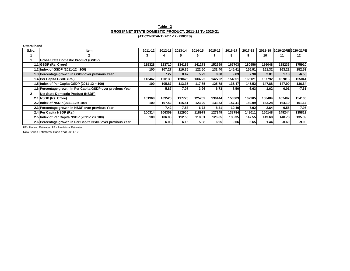## **Table - 2 GROSS/ NET STATE DOMESTIC PRODUCT, 2011-12 To 2020-21 (AT CONSTANT (2011-12) PRICES)**

### **Uttarakhand**

| S.No. | Item                                                        | 2011-12 | 2012-13 | 2013-14 | 2014-15 | 2015-16 | 2016-17 | 2017-18 | 2018-19 | 2019-20RE2020-21PE |         |
|-------|-------------------------------------------------------------|---------|---------|---------|---------|---------|---------|---------|---------|--------------------|---------|
|       | 2                                                           | 3       |         | 5       | 6       |         | 8       | 9       | 10      | 11                 | 12      |
|       | <b>Gross State Domestic Product (GSDP)</b>                  |         |         |         |         |         |         |         |         |                    |         |
|       | 1.1 GSDP (Rs. Crore)                                        | 115328  | 123710  | 134182  | 141278  | 152699  | 167703  | 180956  | 186048  | 188236             | 175910  |
|       | 1.2 Index of GSDP (2011-12= 100)                            | 100     | 107.27  | 116.35  | 122.50  | 132.40  | 145.41  | 156.91  | 161.32  | 163.22             | 152.53  |
|       | 1.3 Percentage growth in GSDP over previous Year            |         | 7.27    | 8.47    | 5.29    | 8.08    | 9.83    | 7.90    | 2.81    | 1.18               | $-6.55$ |
|       | 1.4 Per Capita GSDP (Rs.)                                   | 113467  | 120130  | 128626  | 133722  | 142722  | 154851  | 165121  | 167792  | 167813             | 155041  |
|       | 1.5 Index of Per Capita GSDP (2011-12 = 100)                | 100     | 105.87  | 113.36  | 117.85  | 125.78  | 136.47  | 145.52  | 147.88  | 147.90             | 136.64  |
|       | 1.6 Percentage growth in Per Capita GSDP over previous Year |         | 5.87    | 7.07    | 3.96    | 6.73    | 8.50    | 6.63    | 1.62    | 0.01               | $-7.61$ |
| 2     | Net State Domestic Product (NSDP)                           |         |         |         |         |         |         |         |         |                    |         |
|       | 2.1 NSDP (Rs. Crore)                                        | 101960  | 109528  | 117778  | 125702  | 136144  | 150303  | 162205  | 166484  | 167407             | 154100  |
|       | 2.2 Index of NSDP $(2011-12 = 100)$                         | 100     | 107.42  | 115.51  | 123.29  | 133.53  | 147.41  | 159.09  | 163.28  | 164.19             | 151.14  |
|       | 2.3 Percentage growth in NSDP over previous Year            |         | 7.42    | 7.53    | 6.73    | 8.31    | 10.40   | 7.92    | 2.64    | 0.55               | $-7.95$ |
|       | 2.4 Per Capita NSDP (Rs.)                                   | 100314  | 106359  | 112900  | 118979  | 127249  | 138784  | 148011  | 150148  | 149244             | 135819  |
|       | 2.5 Index of Per Capita NSDP $(2011-12 = 100)$              | 100     | 106.03  | 112.55  | 118.61  | 126.85  | 138.351 | 147.55  | 149.68  | 148.78             | 135.39  |
|       | 2.6 Percentage growth in Per Capita NSDP over previous Year |         | 6.03    | 6.15    | 5.38    | 6.95    | 9.06    | 6.65    | 1.44    | $-0.60$            | $-9.00$ |

RE - Revised Estimates, PE - Provisional Estimates,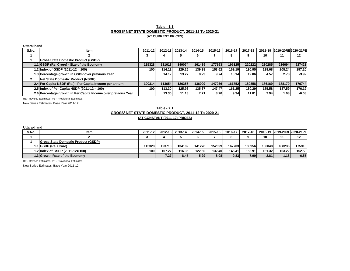### **Table - 1.1 GROSS/ NET STATE DOMESTIC PRODUCT, 2011-12 To 2020-21 (AT CURRENT PRICES)**

#### **Uttarakhand**

| S.No. | <b>Item</b>                                                   | 2011-12 | 2012-13 | 2013-14 | 2014-15 | 2015-16 | 2016-17 | 2017-18 |        |        | 2018-19 2019-20RE2020-21PE |
|-------|---------------------------------------------------------------|---------|---------|---------|---------|---------|---------|---------|--------|--------|----------------------------|
|       |                                                               | -5      |         |         |         |         | 8       |         | 10     |        | 12                         |
|       | <b>Gross State Domestic Product (GSDP)</b>                    |         |         |         |         |         |         |         |        |        |                            |
|       | 1.1 GSDP (Rs. Crore) - Size of the Economy                    | 115328  | 131613  | 149074  | 161439  | 177163  | 195125  | 220222  | 230285 | 236694 | 227421                     |
|       | 1.2 Index of GSDP (2011-12 = 100)                             | 100     | 114.12  | 129.26  | 139.98  | 153.62  | 169.19  | 190.95  | 199.68 | 205.24 | 197.20                     |
|       | 1.3 Percentage growth in GSDP over previous Year              |         | 14.12   | 13.27   | 8.29    | 9.74    | 10.14   | 12.86   | 4.57   | 2.78   | $-3.92$                    |
|       | Net State Domestic Product (NSDP)                             |         |         |         |         |         |         |         |        |        |                            |
|       | 2.4 Per Capita NSDP (Rs.) - Per Capita Income per annum       | 100314  | 113654  | 126356  | 136099  | 147936  | 161752  | 180858  | 186169 | 188179 | 176744                     |
|       | 2.5 Index of Per Capita NSDP $(2011-12 = 100)$                | 100     | 113.30  | 125.96  | 135.67  | 147.47  | 161.25  | 180.29  | 185.58 | 187.59 | 176.19                     |
|       | 2.6 Percentage growth in Per Capita Income over previous Year |         | 13.30   | 11.18   | 7.71    | 8.70    | 9.34    | 11.81   | 2.94   | 1.08   | $-6.08$                    |

RE - Revised Estimates, PE - Provisional Estimates,

New Series Estimates, Base Year 2011-12.

### **Table - 2.1 GROSS/ NET STATE DOMESTIC PRODUCT, 2011-12 To 2020-21 (AT CONSTANT (2011-12) PRICES)**

#### **Uttarakhand**

| S.No. | Item                                       | 2011-12 | 2012-13 | 2013-14 | 2014-15 | 2015-16 | 2016-17 | 2017-18 |        | 2018-19 2019-20RE2020-21PE |         |
|-------|--------------------------------------------|---------|---------|---------|---------|---------|---------|---------|--------|----------------------------|---------|
|       |                                            |         |         |         | ∼       |         |         |         | 10     | 11                         | 12      |
|       | <b>Gross State Domestic Product (GSDP)</b> |         |         |         |         |         |         |         |        |                            |         |
|       | 1.1 GSDP (Rs. Crore)                       | 115328  | 123710  | 134182  | 141278  | 152699  | 167703  | 180956  | 186048 | 188236                     | 175910  |
|       | 1.2 Index of GSDP (2011-12= 100)           | 100     | 107.27  | 116.35  | 122.50  | 132.40  | 145.41  | 156.91  | 161.32 | 163.22                     | 152.53  |
|       | 1.3 Growth Rate of the Economy             |         | 7.27    | 8.47    | 5.29    | 8.08    | 9.83    | 7.90    | 2.81   | 1.18                       | $-6.55$ |

RE - Revised Estimates, PE - Provisional Estimates,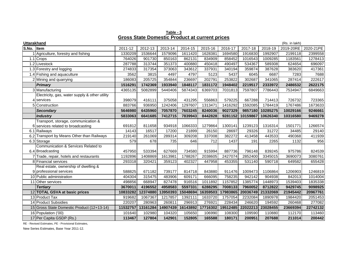**Table - 3 Gross State Domestic Product at current prices**

| <b>Uttarakhand</b> |                                                |          |          |          |          |          |          |                    |          | (Rs. in lakh) |           |
|--------------------|------------------------------------------------|----------|----------|----------|----------|----------|----------|--------------------|----------|---------------|-----------|
| S.No. Item         |                                                | 2011-12  | 2012-13  | 2013-14  | 2014-15  | 2015-16  | 2016-17  | 2017-18            | 2018-19  | 2019-20RE     | 2020-21PE |
|                    | 1 Agriculture, forestry and fishing            | 1330209  | 1536644  | 1579096  | 1611420  | 1628381  | 1694580  | 1916830            | 1992907  | 2199118       | 2399558   |
|                    | 1.1 Crops                                      | 764026   | 901730   | 850163   | 862131   | 834909   | 858452   | 1016543            | 1009285  | 1183561       | 1278413   |
|                    | 1.2 Livestock                                  | 287788   | 313744   | 351373   | 400880   | 450418   | 490497   | 534367             | 589308   | 624654        | 696097    |
|                    | 1.3 Forestry and logging                       | 274833   | 317354   | 373063   | 343612   | 337931   | 340194   | 359874             | 387628   | 383620        | 417361    |
|                    | 1.4 Fishing and aquaculture                    | 3562     | 3815     | 4497     | 4797     | 5123     | 5437     | 6045               | 6687     | 7283          | 7688      |
|                    | 2 Mining and quarrying                         | 186083   | 205725   | 354844   | 236697   | 202791   | 253822   | 302687             | 341065   | 287414        | 222617    |
|                    | <b>Primary</b>                                 | 1516291  | 1742369  | 1933940  | 1848117  | 1831172  | 1948402  | 2219517            | 2333972  | 2486532       | 2622175   |
|                    | 3 Manufacturing                                | 4365135  | 5082899  | 5440406  | 5874343  | 6369703  | 7031813  | 7597807            | 7786443  | 7534947       | 6849663   |
|                    | Electricity, gas, water supply & other utility |          |          |          |          |          |          |                    |          |               |           |
|                    | 4 services                                     | 398079   | 416111   | 375058   | 431295   | 556863   | 579225   | 667288             | 714413   | 726732        | 723365    |
|                    | 5 Construction                                 | 883766   | 936950   | 1242406  | 1297607  | 1313471  | 1416292  | 1592085            | 1784419  | 1767486       | 1673633   |
|                    | <b>Secondary</b>                               | 5646980  | 6435960  | 7057870  | 7603245  | 8240036  | 9027329  | 9857180            | 10285275 | 10029166      | 9246661   |
|                    | <b>Industry</b>                                | 5833063  | 6641685  | 7412715  | 7839943  | 8442828  | 9281152  | 10159867           | 10626340 | 10316580      | 9469278   |
|                    | Transport, storage, communication &            |          |          |          |          |          |          |                    |          |               |           |
|                    | 6 services related to broadcasting             | 691812   | 811658   | 934918   | 1066333  | 1279864  | 1300141  | 1239123            | 1316314  | 1501771       | 1266574   |
|                    | 6.1 Railways                                   | 14143    | 16517    | 17200    | 21899    | 26150    | 28697    | 29326              | 31272    | 34485         | 29140     |
|                    | 6.2 Transport by Means Other than Railways     | 219140   | 261069   | 289314   | 309208   | 337008   | 382272   | 413458             | 443533   | 490368        | 411939    |
|                    | 6.3 Storage                                    | 579      | 678      | 735      | 646      | 712      | 1437     | 191                | 2265     | 1132          | 956       |
|                    | Communication & Services Related to            |          |          |          |          |          |          |                    |          |               |           |
|                    | 6.4 Broadcasting                               | 457950   | 533394   | 627669   | 734580   | 915994   | 887736   | 796148             | 839245   | 975786        | 824539    |
|                    | 7 Trade, repair, hotels and restaurants        | 1192896  | 1408869  | 1613981  | 1788267  | 2038605  | 2427074  | 2852400            | 3345015  | 3690073       | 3080761   |
|                    | 8 Financial services                           | 293318   | 320421   | 359123   | 402327   | 447958   | 453355   | 531140             | 590718   | 649582        | 655428    |
|                    | Real estate, ownership of dwelling &           |          |          |          |          |          |          |                    |          |               |           |
|                    | 9 professional services                        | 588825   | 671182   | 739177   | 814718   | 843880   | 911476   | 1009473            | 1106864  | 1206903       | 1246819   |
|                    | 10 Public administration                       | 404304   | 315475   | 483906   | 609171   | 666095   | 758235   | 942142             | 904938   | 842013        | 1014004   |
|                    | 11 Other services                              | 498856   | 668947   | 827478   | 916516   | 1011892  | 1157852  | 1385774            | 1448973  | 1539403       | 1835338   |
|                    | <b>Tertiarv</b>                                | 3670011  | 4196552  | 4958583  | 5597331  | 6288295  | 7008133  | 7960052            | 8712822  | 9429745       | 9098925   |
|                    | 12 TOTAL GSVA at basic prices                  | 10833282 | 12374880 | 13950393 | 15048694 | 16359503 | 17983865 | 20036749           | 21332069 | 21945442      | 20967761  |
|                    | 13 Product Tax                                 | 919682   | 1067367  | 1217857  | 1392111  | 1633720  | 1757054  | 2232084            | 1890978  | 1984420       | 2051453   |
|                    | 14 Product Subsidies                           | 220207   | 280963   | 260811   | 296913   | 276921   | 228434   | 246620<br>22022213 | 194592   | 260468        | 277082    |
|                    | 15 Gross State Domestic Product (12+13-14)     | 11532757 | 13161284 | 14907439 | 16143892 | 17716302 | 19512485 |                    | 23028455 | 23669394      | 22742132  |
|                    | 16 Population ('00)                            | 101640   | 102980   | 104320   | 105650   | 106990   | 108300   | 109590             | 110880   | 112170        | 113460    |
|                    | 17 Per Capita GSDP (Rs.)                       | 113467   | 127804   | 142901   | 152805   | 165588   | 180171   | 200951             | 207688   | 211014        | 200442    |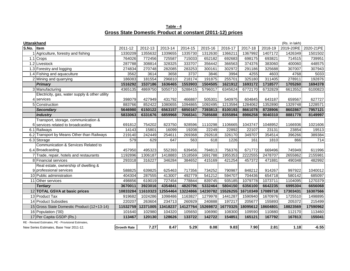| Table - 4                                                 |  |
|-----------------------------------------------------------|--|
| Gross State Domestic Product at constant (2011-12) prices |  |

| <b>Uttarakhand</b> |                                                     |                    |          |          |          |          |          |          |          | (Rs. in lakh) |           |
|--------------------|-----------------------------------------------------|--------------------|----------|----------|----------|----------|----------|----------|----------|---------------|-----------|
| S.No. Item         |                                                     | 2011-12            | 2012-13  | 2013-14  | 2014-15  | 2015-16  | 2016-17  | 2017-18  | 2018-19  | 2019-20RE     | 2020-21PE |
|                    | 1 Agriculture, forestry and fishing                 | 1330209            | 1355632  | 1339655  | 1335730  | 1312630  | 1366211  | 1367992  | 1407172  | 1426349       | 1501502   |
|                    | 1.1 Crops                                           | 764026             | 772456   | 725587   | 715033   | 652182   | 692683   | 698175   | 693821   | 714515        | 739951    |
|                    | 1.2 Livestock                                       | 287788             | 308814   | 328325   | 333707   | 356442   | 366563   | 374376   | 383060   | 400060        | 448575    |
|                    | 1.3 Forestry and logging                            | 274834             | 270748   | 282085   | 283253   | 300161   | 302972   | 291186   | 325688   | 307007        | 307943    |
|                    | 1.4 Fishing and aquaculture                         | 3562               | 3614     | 3658     | 3737     | 3846     | 3994     | 4255     | 4603     | 4768          | 5033      |
|                    | 2 Mining and quarrying                              | 186083             | 181554   | 296810   | 218174   | 191875   | 255701   | 325180   | 311405   | 278911        | 192876    |
|                    | Primary                                             | 1516292            | 1537186  | 1636465  | 1553903  | 1504505  | 1621912  | 1693172  | 1718577  | 1705260       | 1694378   |
|                    | 3 Manufacturing                                     | 4365135            | 4869750  | 5050710  | 5288415  | 5796017  | 6345624  | 6772170  | 6732829  | 6613552       | 6100823   |
|                    | Electricity, gas, water supply & other utility      |                    |          |          |          |          |          |          |          |               |           |
|                    | 4 services                                          | 398079             | 427949   | 431792   | 466887   | 505301   | 540975   | 604845   | 643187   | 659567        | 627727    |
|                    | 5 Construction                                      | 883766             | 852422   | 1080655  | 1094865  | 1092495  | 1213594  | 1284062  | 1352890  | 1329748       | 1228571   |
|                    | <b>Secondary</b>                                    | 5646980            | 6150122  | 6563157  | 6850167  | 7393813  | 8100193  | 8661078  | 8728906  | 8602867       | 7957121   |
|                    | <b>Industry</b>                                     | 5833063            | 6331676  | 6859968  | 7068341  | 7585688  | 8355894  | 8986258  | 9040310  | 8881778       | 8149997   |
|                    | Transport, storage, communication &                 |                    |          |          |          |          |          |          |          |               |           |
|                    | 6 services related to broadcasting                  | 691812             | 754202   | 823750   | 928596   | 1110298  | 1106665  | 1043747  | 1048952  | 1166936       | 1021606   |
|                    | 6.1 Railways                                        | 14143              | 15801    | 16099    | 19208    | 22249    | 22892    | 22107    | 23131    | 23854         | 19513     |
|                    | 6.2 Transport by Means Other than Railways          | 219140             | 242449   | 254611   | 269368   | 292618   | 326170   | 349707   | 354514   | 396266        | 389384    |
|                    | 6.3 Storage                                         | 579                | 629      | 647      | 563      | 618      | 1226     | 161      | 1810     | 866           | 714       |
|                    | Communication & Services Related to                 |                    |          |          |          |          |          |          |          |               |           |
|                    | 6.4 Broadcasting                                    | 457950             | 495323   | 552393   | 639456   | 794813   | 756376   | 671772   | 669496   | 745949        | 611996    |
|                    | 7 Trade, repair, hotels and restaurants             | 1192896            | 1306187  | 1418883  | 1518569  | 1691788  | 1955353  | 2222555  | 2478707  | 2655862       | 2155981   |
|                    | 8 Financial services                                | 293318             | 316227   | 346284   | 384652   | 415169   | 421254   | 457372   | 471881   | 490348        | 482992    |
|                    | Real estate, ownership of dwelling &                |                    |          |          |          |          |          |          |          |               |           |
|                    | 9 professional services                             | 588825             | 639825   | 625463   | 717356   | 734252   | 790987   | 848212   | 914267   | 997922        | 1040012   |
|                    | 10 Public administration                            | 404304             | 287555   | 413007   | 492779   | 541212   | 594707   | 704436   | 654718   | 580142        | 685097    |
|                    | 11 Other services                                   | 498856             | 619019   | 727454   | 778844   | 839745   | 935185   | 1079778  | 1073711  | 1104095       | 1270379   |
|                    | <b>Tertiary</b>                                     | 3670011            | 3923016  | 4354841  | 4820796  | 5332464  | 5804150  | 6356100  | 6642235  | 6995304       | 6656068   |
|                    | 12 TOTAL GSVA at basic prices                       | 10833284           | 11610323 | 12554464 | 13224866 | 14230782 | 15526255 | 16710349 | 17089718 | 17303431      | 16307566  |
|                    | 13 Product Tax                                      | 919682             | 1024286  | 1098486  | 1163827  | 1279978  | 1441287  | 1590940  | 1670976  | 1725510       | 1498895   |
|                    | 14 Product Subsidies                                | 220207             | 263604   | 234713   | 260929   | 240888   | 197217   | 205677   | 155893   | 205372        | 215499    |
|                    | 15 Gross State Domestic Product (12+13-14)          | 11532759           | 12371005 | 13418237 | 14127764 | 15269872 | 16770325 | 18095612 | 18604801 | 18823569      | 17590962  |
|                    | 16 Population ('00)                                 | 101640             | 102980   | 104320   | 105650   | 106990   | 108300   | 109590   | 110880   | 112170        | 113460    |
|                    | 17 Per Capita GSDP (Rs.)                            | 113467             | 120130   | 128626   | 133722   | 142722   | 154851   | 165121   | 167792   | 167813        | 155041    |
|                    | RE - Revised Estimates, PE - Provisional Estimates, |                    |          |          |          |          |          |          |          |               |           |
|                    | New Series Estimates, Base Year 2011-12.            | <b>Growth Rate</b> | 7.27     | 8.47     | 5.29     | 8.08     | 9.83     | 7.90     | 2.81     | 1.18          | $-6.55$   |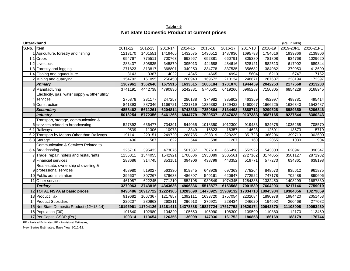| Table - 5                                           |  |  |  |  |  |  |  |  |  |
|-----------------------------------------------------|--|--|--|--|--|--|--|--|--|
| <b>Net State Domestic Product at current prices</b> |  |  |  |  |  |  |  |  |  |

| <b>Uttarakhand</b> |                                                                 |          |                  |                  |                  |                  |                  |                  |                  | (Rs. in lakh) |                  |
|--------------------|-----------------------------------------------------------------|----------|------------------|------------------|------------------|------------------|------------------|------------------|------------------|---------------|------------------|
| S.No.              | <b>I</b> tem                                                    | 2011-12  | 2012-13          | 2013-14          | 2014-15          | 2015-16          | 2016-17          | 2017-18          | 2018-19          | 2019-20RE     | 2020-21PE        |
|                    | Agriculture, forestry and fishing                               | 1213170  | 1401551          | 1419465          | 1432575          | 1436512          | 1487936          | 1695788          | 1754616          | 1939366       | 2139806          |
|                    | 1.1 Crops                                                       | 654767   | 775511           | 700763           | 692967           | 652381           | 660791           | 805380           | 781808           | 934768        | 1029620          |
|                    | 1.2 Livestock                                                   | 283437   | 308835           | 345879           | 395013           | 444688           | 484616           | 528121           | 582513           | 617902        | 689344           |
|                    | 1.3 Forestry and logging                                        | 271823   | 313817           | 368801           | 340250           | 334778           | 337535           | 356682           | 384082           | 379950        | 413690           |
|                    | 1.4 Fishing and aquaculture                                     | 3143     | 3387             | 4022             | 4345             | 4665             | 4994             | 5604             | 6213             | 6747          | 7152             |
|                    | 2 Mining and quarrying                                          | 154792   | 161095           | 256450           | 200940           | 169672           | 213134           | 248671           | 287637           | 238194        | 173397           |
|                    | Primary                                                         | 1367961  | 1562646          | 1675915          | 1633515          | 1606184          | 1701070          | 1944459          | 2042253          | 2177560       | 2313203          |
|                    | 3 Manufacturing                                                 | 3741191  | 4442738          | 4790836          | 5242331          | 5740501          | 6419260          | 6965287          | 7150305          | 6854229       | 6168945          |
|                    | Electricity, gas, water supply & other utility                  |          |                  |                  |                  |                  |                  |                  |                  |               |                  |
|                    | 4 services                                                      | 275878   | 281177           | 247257           | 280188           | 374982           | 385802           | 463359           | 482997           | 498781        | 495414           |
|                    | 5 Construction                                                  | 841393   | 887346           | 1166721          | 1221319          | 1235382          | 1329432          | 1460067          | 1666225          | 1636340       | 1542487          |
|                    | <b>Secondary</b>                                                | 4858462  | 5611261          | 6204814          | 6743838          | 7350864          | 8134493          | 8888712          | 9299528          | 8989350       | 8206846          |
|                    | <b>Industry</b>                                                 | 5013254  | 5772356          | 6461265          | 6944779          | 7520537          | 8347628          | 9137383          | 9587165          | 9227544       | 8380243          |
|                    | Transport, storage, communication &                             |          |                  |                  |                  |                  |                  |                  |                  |               |                  |
|                    | services related to broadcasting                                | 527892   | 636477           | 734391           | 844065           | 1018350          | 1012300          | 919433           | 924675           | 1035258       | 708570           |
|                    | 6.1 Railways                                                    | 9539     | 11306            | 10973            | 13349            | 16823            | 16357            | 14623            | 12601            | 13573         | 5719             |
|                    | 6.2 Transport by Means Other than Railways                      | 191141   | 229151           | 249720           | 268785           | 293319           | 328239           | 351728           | 366206           | 399713        | 303600           |
|                    | 6.3 Storage                                                     | 496      | 587              | 622              | 544              | 598              | 1207             | 160              | 2065             | 1030          | 904              |
|                    | Communication & Services Related to                             |          |                  |                  |                  |                  |                  |                  |                  |               |                  |
|                    | 6.4 Broadcasting                                                | 326716   | 395433           | 473076           | 561387           | 707610           | 666498           | 552922           | 543803           | 620941        | 398347           |
|                    | 7 Trade, repair, hotels and restaurants                         | 1136811  | 1344055          | 1542921          | 1708606          | 1933089          | 2305561          | 2727162          | 3174055          | 3501127       | 2871932          |
|                    | 8 Financial services                                            | 288686   | 314745           | 353151           | 394906           | 438799           | 443352           | 519771           | 577273           | 634361        | 638198           |
|                    | Real estate, ownership of dwelling &<br>9 professional services | 458980   |                  |                  |                  |                  |                  |                  |                  | 935612        |                  |
|                    | 10 Public administration                                        | 396607   | 519027<br>307267 | 563330<br>378633 | 619845<br>486807 | 643928<br>540161 | 697363<br>620647 | 778264<br>772522 | 848573<br>747178 | 702488        | 961875<br>890606 |
|                    | 11 Other services                                               | 461087   | 622245           | 771210           | 852108           | 939549           | 1074345          | 1284386          | 1332450          | 1408299       | 1687830          |
|                    | <b>Tertiary</b>                                                 | 3270063  | 3743816          | 4343636          | 4906336          | 5513877          | 6153568          | 7001539          | 7604203          | 8217146       | 7759010          |
|                    | 12 TOTAL NSVA at basic prices                                   | 9496486  | 10917722         | 12224365         | 13283690         | 14470925         | 15989132         | 17834710         | 18945984         | 19384056      | 18279059         |
|                    | 13 Product Tax                                                  | 919682   | 1067367          | 1217857          | 1392111          | 1633720          | 1757054          | 2232084          | 1890978          | 1984420       | 2051453          |
|                    | 14 Product Subsidies                                            | 220207   | 280963           | 260811           | 296913           | 276921           | 228434           | 246620           | 194592           | 260468        | 277082           |
|                    | 15 Net State Domestic Product (12+13-14)                        | 10195961 | 11704126         | 13181411         | 14378888         | 15827724         | 17517752         | 19820174         | 20642370         | 21108008      | 20053430         |
|                    | 16 Population ('00)                                             | 101640   | 102980           | 104320           | 105650           | 106990           | 108300           | 109590           | 110880           | 112170        | 113460           |
|                    | 17 Per Capita GSDP (Rs.)                                        | 100314   | 113654           | 126356           | 136099           | 147936           | 161752           | 180858           | 186169           | 188179        | 176744           |
|                    |                                                                 |          |                  |                  |                  |                  |                  |                  |                  |               |                  |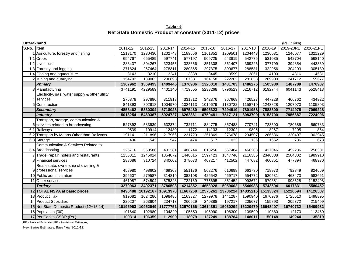| Table - 6                                               |  |
|---------------------------------------------------------|--|
| Net State Domestic Product at constant (2011-12) prices |  |

| Uttarakhand |                                                |          |          |          |          |          |          |          |          | (Rs. in lakh) |           |
|-------------|------------------------------------------------|----------|----------|----------|----------|----------|----------|----------|----------|---------------|-----------|
| S.No.       | <b>Item</b>                                    | 2011-12  | 2012-13  | 2013-14  | 2014-15  | 2015-16  | 2016-17  | 2017-18  | 2018-19  | 2019-20RE     | 2020-21PE |
|             | Agriculture, forestry and fishing              | 1213170  | 1230430  | 1202748  | 1189556  | 1161852  | 1209501  | 1204443  | 1236031  | 1246077       | 1321229   |
|             | 1.1 Crops                                      | 654767   | 655489   | 597741   | 577197   | 509725   | 543819   | 542775   | 531085   | 542704        | 568140    |
|             | 1.2 Livestock                                  | 283437   | 304267   | 323455   | 328656   | 351308   | 361407   | 369226   | 377799   | 394854        | 443369    |
|             | 1.3 Forestry and logging                       | 271824   | 267464   | 278311   | 280365   | 297375   | 300677   | 288581   | 322956   | 304203        | 305139    |
|             | 1.4 Fishing and aquaculture                    | 3143     | 3210     | 3241     | 3338     | 3445     | 3599     | 3861     | 4190     | 4316          | 4581      |
|             | 2 Mining and quarrying                         | 154792   | 139063   | 206698   | 187381   | 164158   | 222202   | 281833   | 269900   | 241712        | 155677    |
|             | <b>Primary</b>                                 | 1367962  | 1369493  | 1409446  | 1376936  | 1326010  | 1431703  | 1486276  | 1505930  | 1487789       | 1476907   |
|             | 3 Manufacturing                                | 3741191  | 4229589  | 4401140  | 4719555  | 5233268  | 5796529  | 6216712  | 6192744  | 6041143       | 5528413   |
|             | Electricity, gas, water supply & other utility |          |          |          |          |          |          |          |          |               |           |
|             | 4 services                                     | 275878   | 297896   | 311918   | 331812   | 342376   | 367668   | 426527   | 447228   | 466762        | 434922    |
|             | 5 Construction                                 | 841393   | 802818   | 1004970  | 1024113  | 1019679  | 1130722  | 1158719  | 1243828  | 1207070       | 1105893   |
|             | <b>Secondary</b>                               | 4858462  | 5330304  | 5718028  | 6075480  | 6595323  | 7294919  | 7801958  | 7883800  | 7714975       | 7069228   |
|             | <b>Industry</b>                                | 5013254  | 5469367  | 5924727  | 6262861  | 6759481  | 7517121  | 8083790  | 8153700  | 7956687       | 7224906   |
|             | Transport, storage, communication &            |          |          |          |          |          |          |          |          |               |           |
|             | services related to broadcasting               | 527892   | 583939   | 632374   | 732711   | 884775   | 857488   | 770741   | 723500   | 780685        | 560783    |
|             | 6.1 Railways                                   | 9539     | 10914    | 12480    | 11772    | 14133    | 12302    | 9895     | 8267     | 7205          | 864       |
|             | 6.2 Transport by Means Other than Railways     | 191141   | 211896   | 217966   | 231720   | 251869   | 276678   | 294507   | 286536   | 320407        | 302945    |
|             | 6.3 Storage                                    | 496      | 543      | 547      | 474      | 517      | 1023     | 136      | 1652     | 786           | 673       |
|             | Communication & Services Related to            |          |          |          |          |          |          |          |          |               |           |
|             | 6.4 Broadcasting                               | 326716   | 360586   | 401381   | 488744   | 618256   | 567484   | 466203   | 427046   | 452286        | 256301    |
|             | 7 Trade, repair, hotels and restaurants        | 1136811  | 1245014  | 1354072  | 1448615  | 1597423  | 1847746  | 2116386  | 2340388  | 2504302       | 1989910   |
|             | 8 Financial services                           | 288686   | 310724   | 340602   | 378073   | 407217   | 412502   | 447682   | 460851   | 477894        | 468930    |
|             | Real estate, ownership of dwelling &           |          |          |          |          |          |          |          |          |               |           |
|             | 9 professional services                        | 458980   | 498602   | 469308   | 551176   | 562276   | 610698   | 663730   | 718973   | 792849        | 824669    |
|             | 10 Public administration                       | 396607   | 279587   | 314819   | 382108   | 426542   | 469717   | 554772   | 520531   | 463473        | 583661    |
|             | 11 Other services                              | 461087   | 574504   | 675328   | 722169   | 775695   | 861452   | 993672   | 979351   | 998628        | 1152498   |
|             | <b>Tertiary</b>                                | 3270063  | 3492371  | 3786503  | 4214852  | 4653928  | 5059602  | 5546983  | 5743594  | 6017831       | 5580452   |
|             | 12 TOTAL NSVA at basic prices                  | 9496488  | 10192167 | 10913978 | 11667268 | 12575261 | 13786224 | 14835216 | 15133324 | 15220594      | 14126587  |
|             | 13 Product Tax                                 | 919682   | 1024286  | 1098486  | 1163827  | 1279978  | 1441287  | 1590940  | 1670976  | 1725510       | 1498895   |
|             | 14 Product Subsidies                           | 220207   | 263604   | 234713   | 260929   | 240888   | 197217   | 205677   | 155893   | 205372        | 215499    |
|             | 15 Net State Domestic Product (12+13-14)       | 10195963 | 10952849 | 11777751 | 12570166 | 13614351 | 15030294 | 16220479 | 16648407 | 16740732      | 15409982  |
|             | 16 Population ('00)                            | 101640   | 102980   | 104320   | 105650   | 106990   | 108300   | 109590   | 110880   | 112170        | 113460    |
|             | 17 Per Capita GSDP (Rs.)                       | 100314   | 106359   | 112900   | 118979   | 127249   | 138784   | 148011   | 150148   | 149244        | 135819    |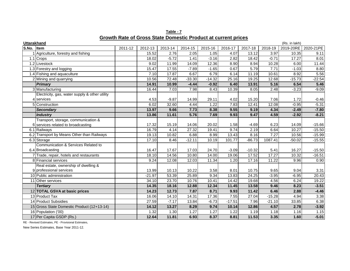| <b>Uttarakhand</b> |                                                |         |          |         |          |          |          |          |          | (Rs. in lakh) |           |
|--------------------|------------------------------------------------|---------|----------|---------|----------|----------|----------|----------|----------|---------------|-----------|
| S.No. Item         |                                                | 2011-12 | 2012-13  | 2013-14 | 2014-15  | 2015-16  | 2016-17  | 2017-18  | 2018-19  | 2019-20RE     | 2020-21PE |
|                    | Agriculture, forestry and fishing              |         | 15.52    | 2.76    | 2.05     | 1.05     | 4.07     | 13.12    | 3.97     | 10.35         | 9.11      |
|                    | 1.1 Crops                                      |         | 18.02    | $-5.72$ | 1.41     | $-3.16$  | 2.82     | 18.42    | $-0.71$  | 17.27         | 8.01      |
|                    | 1.2 Livestock                                  |         | 9.02     | 11.99   | 14.09    | 12.36    | 8.90     | 8.94     | 10.28    | 6.00          | 11.44     |
|                    | 1.3 Forestry and logging                       |         | 15.47    | 17.55   | $-7.89$  | $-1.65$  | 0.67     | 5.79     | 7.71     | $-1.03$       | 8.80      |
|                    | 1.4 Fishing and aquaculture                    |         | 7.10     | 17.87   | 6.67     | 6.79     | 6.14     | 11.19    | 10.61    | 8.92          | 5.56      |
|                    | 2 Mining and quarrying                         |         | 10.56    | 72.48   | $-33.30$ | $-14.32$ | 25.16    | 19.25    | 12.68    | $-15.73$      | $-22.54$  |
|                    | <b>Primary</b>                                 |         | 14.91    | 10.99   | $-4.44$  | $-0.92$  | 6.40     | 13.91    | 5.16     | 6.54          | 5.46      |
|                    | 3 Manufacturing                                |         | 16.44    | 7.03    | 7.98     | 8.43     | 10.39    | 8.05     | 2.48     | $-3.23$       | $-9.09$   |
|                    | Electricity, gas, water supply & other utility |         |          |         |          |          |          |          |          |               |           |
|                    | 4 services                                     |         | 4.53     | $-9.87$ | 14.99    | 29.11    | 4.02     | 15.20    | 7.06     | 1.72          | $-0.46$   |
|                    | 5 Construction                                 |         | 6.02     | 32.60   | 4.44     | 1.22     | 7.83     | 12.41    | 12.08    | $-0.95$       | $-5.31$   |
|                    | <b>Secondary</b>                               |         | 13.97    | 9.66    | 7.73     | 8.38     | 9.55     | 9.19     | 4.34     | $-2.49$       | $-7.80$   |
|                    | <b>Industry</b>                                |         | 13.86    | 11.61   | 5.76     | 7.69     | 9.93     | 9.47     | 4.59     | $-2.92$       | $-8.21$   |
|                    | Transport, storage, communication &            |         |          |         |          |          |          |          |          |               |           |
|                    | 6 services related to broadcasting             |         | 17.32    | 15.19   | 14.06    | 20.02    | 1.58     | $-4.69$  | 6.23     | 14.09         | $-15.66$  |
|                    | 6.1 Railways                                   |         | 16.79    | 4.14    | 27.32    | 19.41    | 9.74     | 2.19     | 6.64     | 10.27         | $-15.50$  |
|                    | 6.2 Transport by Means Other than Railways     |         | 19.13    | 10.82   | 6.88     | 8.99     | 13.43    | 8.16     | 7.27     | 10.56         | $-15.99$  |
|                    | 6.3 Storage                                    |         | 17.10    | 8.46    | $-12.11$ | 10.19    | 101.77   | $-86.73$ | 1087.41  | $-50.02$      | $-15.55$  |
|                    | Communication & Services Related to            |         |          |         |          |          |          |          |          |               |           |
|                    | 6.4 Broadcasting                               |         | 16.47    | 17.67   | 17.03    | 24.70    | $-3.09$  | $-10.32$ | 5.41     | 16.27         | $-15.50$  |
|                    | 7 Trade, repair, hotels and restaurants        |         | 18.10    | 14.56   | 10.80    | 14.00    | 19.06    | 17.52    | 17.27    | 10.32         | $-16.51$  |
|                    | 8 Financial services                           |         | 9.24     | 12.08   | 12.03    | 11.34    | 1.20     | 17.16    | 11.22    | 9.96          | 0.90      |
|                    | Real estate, ownership of dwelling &           |         |          |         |          |          |          |          |          |               |           |
|                    | 9 professional services                        |         | 13.99    | 10.13   | 10.22    | 3.58     | 8.01     | 10.75    | 9.65     | 9.04          | 3.31      |
|                    | 10 Public administration                       |         | $-21.97$ | 53.39   | 25.89    | 9.34     | 13.83    | 24.25    | $-3.95$  | $-6.95$       | 20.43     |
|                    | 11 Other services                              |         | 34.10    | 23.70   | 10.76    | 10.41    | 14.42    | 19.68    | 4.56     | 6.24          | 19.22     |
|                    | <b>Tertiary</b>                                |         | 14.35    | 18.16   | 12.88    | 12.34    | 11.45    | 13.58    | 9.46     | 8.23          | $-3.51$   |
|                    | 12 TOTAL GSVA at basic prices                  |         | 14.23    | 12.73   | 7.87     | 8.71     | 9.93     | 11.42    | 6.46     | 2.88          | $-4.46$   |
|                    | 13 Product Tax                                 |         | 16.06    | 14.10   | 14.31    | 17.36    | 7.55     | 27.04    | $-15.28$ | 4.94          | 3.38      |
|                    | 14 Product Subsidies                           |         | 27.59    | $-7.17$ | 13.84    | $-6.73$  | $-17.51$ | 7.96     | $-21.10$ | 33.85         | 6.38      |
|                    | 15 Gross State Domestic Product (12+13-14)     |         | 14.12    | 13.27   | 8.29     | 9.74     | 10.14    | 12.86    | 4.57     | 2.78          | $-3.92$   |
|                    | 16 Population ('00)                            |         | 1.32     | 1.30    | 1.27     | 1.27     | 1.22     | 1.19     | 1.18     | 1.16          | 1.15      |
|                    | 17 Per Capita GSDP (Rs.)                       |         | 12.64    | 11.81   | 6.93     | 8.37     | 8.81     | 11.53    | 3.35     | 1.60          | $-5.01$   |

**Table - 7 Growth Rate of Gross State Domestic Product at current prices**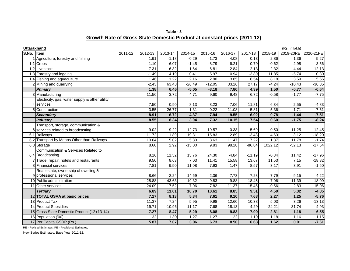**Table - 8 Growth Rate of Gross State Domestic Product at constant prices (2011-12)**

| Uttarakhand |                                                |         |          |          |          |          |          |          |          | (Rs. in lakh) |           |
|-------------|------------------------------------------------|---------|----------|----------|----------|----------|----------|----------|----------|---------------|-----------|
| S.No.       | <b>I</b> tem                                   | 2011-12 | 2012-13  | 2013-14  | 2014-15  | 2015-16  | 2016-17  | 2017-18  | 2018-19  | 2019-20RE     | 2020-21PE |
|             | Agriculture, forestry and fishing              |         | 1.91     | $-1.18$  | $-0.29$  | $-1.73$  | 4.08     | 0.13     | 2.86     | 1.36          | 5.27      |
|             | $1.1$ Crops                                    |         | 1.10     | $-6.07$  | $-1.45$  | $-8.79$  | 6.21     | 0.79     | $-0.62$  | 2.98          | 3.56      |
|             | 1.2 Livestock                                  |         | 7.31     | 6.32     | 1.64     | 6.81     | 2.84     | 2.13     | 2.32     | 4.44          | 12.13     |
|             | 1.3 Forestry and logging                       |         | $-1.49$  | 4.19     | 0.41     | 5.97     | 0.94     | $-3.89$  | 11.85    | $-5.74$       | 0.30      |
|             | 1.4 Fishing and aquaculture                    |         | 1.46     | 1.22     | 2.16     | 2.90     | 3.85     | 6.54     | 8.18     | 3.59          | 5.56      |
|             | 2 Mining and quarrying                         |         | $-2.43$  | 63.48    | $-26.49$ | $-12.05$ | 33.26    | 27.17    | $-4.24$  | $-10.43$      | $-30.85$  |
|             | <b>Primary</b>                                 |         | 1.38     | 6.46     | $-5.05$  | $-3.18$  | 7.80     | 4.39     | 1.50     | $-0.77$       | $-0.64$   |
|             | 3 Manufacturing                                |         | 11.56    | 3.72     | 4.71     | 9.60     | 9.48     | 6.72     | $-0.58$  | $-1.77$       | $-7.75$   |
|             | Electricity, gas, water supply & other utility |         |          |          |          |          |          |          |          |               |           |
|             | 4 services                                     |         | 7.50     | 0.90     | 8.13     | 8.23     | 7.06     | 11.81    | 6.34     | 2.55          | $-4.83$   |
|             | 5 Construction                                 |         | $-3.55$  | 26.77    | 1.31     | $-0.22$  | 11.08    | 5.81     | 5.36     | $-1.71$       | $-7.61$   |
|             | <b>Secondary</b>                               |         | 8.91     | 6.72     | 4.37     | 7.94     | 9.55     | 6.92     | 0.78     | $-1.44$       | $-7.51$   |
|             | <b>Industry</b>                                |         | 8.55     | 8.34     | 3.04     | 7.32     | 10.15    | 7.54     | 0.60     | $-1.75$       | $-8.24$   |
|             | Transport, storage, communication &            |         |          |          |          |          |          |          |          |               |           |
|             | 6 services related to broadcasting             |         | 9.02     | 9.22     | 12.73    | 19.57    | $-0.33$  | $-5.69$  | 0.50     | 11.25         | $-12.45$  |
|             | 6.1 Railways                                   |         | 11.72    | 1.89     | 19.31    | 15.83    | 2.89     | $-3.43$  | 4.63     | 3.12          | $-18.20$  |
|             | 6.2 Transport by Means Other than Railways     |         | 10.64    | 5.02     | 5.80     | 8.63     | 11.47    | 7.22     | 1.37     | 11.78         | $-1.74$   |
|             | 6.3 Storage                                    |         | 8.60     | 2.92     | $-13.00$ | 9.83     | 98.28    | $-86.84$ | 1022.12  | $-52.13$      | $-17.64$  |
|             | Communication & Services Related to            |         |          |          |          |          |          |          |          |               |           |
|             | 6.4 Broadcasting                               |         | 8.16     | 11.52    | 15.76    | 24.30    | $-4.84$  | $-11.19$ | $-0.34$  | 11.42         | $-17.96$  |
|             | 7 Trade, repair, hotels and restaurants        |         | 9.50     | 8.63     | 7.03     | 11.41    | 15.58    | 13.67    | 11.53    | 7.15          | $-18.82$  |
|             | 8 Financial services                           |         | 7.81     | 9.50     | 11.08    | 7.93     | 1.47     | 8.57     | 3.17     | 3.91          | $-1.50$   |
|             | Real estate, ownership of dwelling &           |         |          |          |          |          |          |          |          |               |           |
|             | 9 professional services                        |         | 8.66     | $-2.24$  | 14.69    | 2.36     | 7.73     | 7.23     | 7.79     | 9.15          | 4.22      |
|             | 10 Public administration                       |         | $-28.88$ | 43.63    | 19.32    | 9.83     | 9.88     | 18.45    | $-7.06$  | $-11.39$      | 18.09     |
|             | 11 Other services                              |         | 24.09    | 17.52    | 7.06     | 7.82     | 11.37    | 15.46    | $-0.56$  | 2.83          | 15.06     |
|             | <b>Tertiary</b>                                |         | 6.89     | 11.01    | 10.70    | 10.61    | 8.85     | 9.51     | 4.50     | 5.32          | $-4.85$   |
|             | 12 TOTAL GSVA at basic prices                  |         | 7.17     | 8.13     | 5.34     | 7.61     | 9.10     | 7.63     | 2.27     | 1.25          | $-5.76$   |
|             | 13 Product Tax                                 |         | 11.37    | 7.24     | 5.95     | 9.98     | 12.60    | 10.38    | 5.03     | 3.26          | $-13.13$  |
|             | 14 Product Subsidies                           |         | 19.71    | $-10.96$ | 11.17    | $-7.68$  | $-18.13$ | 4.29     | $-24.21$ | 31.74         | 4.93      |
|             | 15 Gross State Domestic Product (12+13-14)     |         | 7.27     | 8.47     | 5.29     | 8.08     | 9.83     | 7.90     | 2.81     | 1.18          | $-6.55$   |
|             | 16 Population ('00)                            |         | 1.32     | 1.30     | 1.27     | 1.27     | 1.22     | 1.19     | 1.18     | 1.16          | 1.15      |
|             | 17 Per Capita GSDP (Rs.)                       |         | 5.87     | 7.07     | 3.96     | 6.73     | 8.50     | 6.63     | 1.62     | 0.01          | $-7.61$   |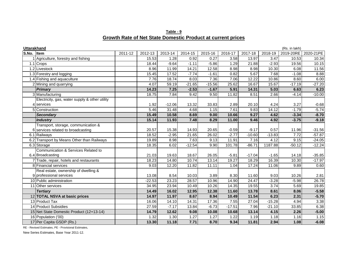**Table - 9 Growth Rate of Net State Domestic Product at current prices**

| <b>Uttarakhand</b> |                                                |         |          |          |          |          |          |          | (Rs. in lakh) |           |           |
|--------------------|------------------------------------------------|---------|----------|----------|----------|----------|----------|----------|---------------|-----------|-----------|
| S.No. Item         |                                                | 2011-12 | 2012-13  | 2013-14  | 2014-15  | 2015-16  | 2016-17  | 2017-18  | 2018-19       | 2019-20RE | 2020-21PE |
|                    | Agriculture, forestry and fishing              |         | 15.53    | 1.28     | 0.92     | 0.27     | 3.58     | 13.97    | 3.47          | 10.53     | 10.34     |
|                    | 1.1 Crops                                      |         | 18.44    | $-9.64$  | $-1.11$  | $-5.86$  | 1.29     | 21.88    | $-2.93$       | 19.56     | 10.15     |
|                    | 1.2 Livestock                                  |         | 8.96     | 11.99    | 14.21    | 12.58    | 8.98     | 8.98     | 10.30         | 6.08      | 11.56     |
|                    | 1.3 Forestry and logging                       |         | 15.45    | 17.52    | $-7.74$  | $-1.61$  | 0.82     | 5.67     | 7.68          | $-1.08$   | 8.88      |
|                    | 1.4 Fishing and aquaculture                    |         | 7.76     | 18.74    | 8.03     | 7.36     | 7.06     | 12.22    | 10.86         | 8.60      | 6.00      |
|                    | 2 Mining and quarrying                         |         | 4.07     | 59.19    | $-21.65$ | $-15.56$ | 25.62    | 16.67    | 15.67         | $-17.19$  | $-27.20$  |
|                    | <b>Primary</b>                                 |         | 14.23    | 7.25     | $-2.53$  | $-1.67$  | 5.91     | 14.31    | 5.03          | 6.63      | 6.23      |
|                    | 3 Manufacturing                                |         | 18.75    | 7.84     | 9.42     | 9.50     | 11.82    | 8.51     | 2.66          | $-4.14$   | $-10.00$  |
|                    | Electricity, gas, water supply & other utility |         |          |          |          |          |          |          |               |           |           |
|                    | 4 services                                     |         | 1.92     | $-12.06$ | 13.32    | 33.83    | 2.89     | 20.10    | 4.24          | 3.27      | $-0.68$   |
|                    | 5 Construction                                 |         | 5.46     | 31.48    | 4.68     | 1.15     | 7.61     | 9.83     | 14.12         | $-1.79$   | $-5.74$   |
|                    | <b>Secondary</b>                               |         | 15.49    | 10.58    | 8.69     | 9.00     | 10.66    | 9.27     | 4.62          | $-3.34$   | $-8.70$   |
|                    | <b>Industry</b>                                |         | 15.14    | 11.93    | 7.48     | 8.29     | 11.00    | 9.46     | 4.92          | $-3.75$   | $-9.18$   |
|                    | Transport, storage, communication &            |         |          |          |          |          |          |          |               |           |           |
|                    | 6 services related to broadcasting             |         | 20.57    | 15.38    | 14.93    | 20.65    | $-0.59$  | $-9.17$  | 0.57          | 11.96     | $-31.56$  |
|                    | 6.1 Railways                                   |         | 18.52    | $-2.95$  | 21.65    | 26.02    | $-2.77$  | $-10.60$ | $-13.83$      | 7.72      | $-57.87$  |
|                    | 6.2 Transport by Means Other than Railways     |         | 19.89    | 8.98     | 7.63     | 9.13     | 11.91    | 7.16     | 4.12          | 9.15      | $-24.05$  |
|                    | 6.3 Storage                                    |         | 18.35    | 6.02     | $-12.54$ | 9.90     | 101.78   | $-86.71$ | 1187.88       | $-50.12$  | $-12.24$  |
|                    | Communication & Services Related to            |         |          |          |          |          |          |          |               |           |           |
|                    | 6.4 Broadcasting                               |         | 21.03    | 19.63    | 18.67    | 26.05    | $-5.81$  | $-17.04$ | $-1.65$       | 14.18     | $-35.85$  |
|                    | 7 Trade, repair, hotels and restaurants        |         | 18.23    | 14.80    | 10.74    | 13.14    | 19.27    | 18.29    | 16.39         | 10.30     | $-17.97$  |
|                    | 8 Financial services                           |         | 9.03     | 12.20    | 11.82    | 11.11    | 1.04     | 17.24    | 11.06         | 9.89      | 0.60      |
|                    | Real estate, ownership of dwelling &           |         |          |          |          |          |          |          |               |           |           |
|                    | 9 professional services                        |         | 13.08    | 8.54     | 10.03    | 3.89     | 8.30     | 11.60    | 9.03          | 10.26     | 2.81      |
|                    | 10 Public administration                       |         | $-22.53$ | 23.23    | 28.57    | 10.96    | 14.90    | 24.47    | $-3.28$       | $-5.98$   | 26.78     |
|                    | 11 Other services                              |         | 34.95    | 23.94    | 10.49    | 10.26    | 14.35    | 19.55    | 3.74          | 5.69      | 19.85     |
|                    | <b>Tertiary</b>                                |         | 14.49    | 16.02    | 12.95    | 12.38    | 11.60    | 13.78    | 8.61          | 8.06      | $-5.58$   |
|                    | 12 TOTAL NSVA at basic prices                  |         | 14.97    | 11.97    | 8.67     | 8.94     | 10.49    | 11.54    | 6.23          | 2.31      | $-5.70$   |
|                    | 13 Product Tax                                 |         | 16.06    | 14.10    | 14.31    | 17.36    | 7.55     | 27.04    | $-15.28$      | 4.94      | 3.38      |
|                    | 14 Product Subsidies                           |         | 27.59    | $-7.17$  | 13.84    | $-6.73$  | $-17.51$ | 7.96     | $-21.10$      | 33.85     | 6.38      |
|                    | 15 Net State Domestic Product (12+13-14)       |         | 14.79    | 12.62    | 9.08     | 10.08    | 10.68    | 13.14    | 4.15          | 2.26      | $-5.00$   |
|                    | 16 Population ('00)                            |         | 1.32     | 1.30     | 1.27     | 1.27     | 1.22     | 1.19     | 1.18          | 1.16      | 1.15      |
|                    | 17 Per Capita GSDP (Rs.)                       |         | 13.30    | 11.18    | 7.71     | 8.70     | 9.34     | 11.81    | 2.94          | 1.08      | $-6.08$   |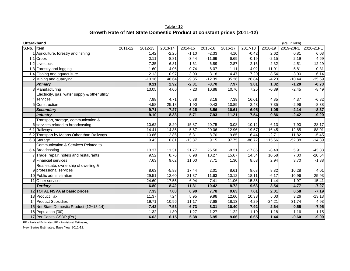**Table - 10 Growth Rate of Net State Domestic Product at constant prices (2011-12)**

| <b>Uttarakhand</b> |                                                |         |          |          |          |          |          |          |          | (Rs. in lakh) |           |
|--------------------|------------------------------------------------|---------|----------|----------|----------|----------|----------|----------|----------|---------------|-----------|
| S.No. Item         |                                                | 2011-12 | 2012-13  | 2013-14  | 2014-15  | 2015-16  | 2016-17  | 2017-18  | 2018-19  | 2019-20RE     | 2020-21PE |
|                    | Agriculture, forestry and fishing              |         | 1.42     | $-2.25$  | $-1.10$  | $-2.33$  | 4.10     | $-0.42$  | 2.62     | 0.81          | 6.03      |
|                    | 1.1 Crops                                      |         | 0.11     | $-8.81$  | $-3.44$  | $-11.69$ | 6.69     | $-0.19$  | $-2.15$  | 2.19          | 4.69      |
|                    | 1.2 Livestock                                  |         | 7.35     | 6.31     | 1.61     | 6.89     | 2.87     | 2.16     | 2.32     | 4.51          | 12.29     |
|                    | 1.3 Forestry and logging                       |         | $-1.60$  | 4.06     | 0.74     | 6.07     | 1.11     | $-4.02$  | 11.91    | $-5.81$       | 0.31      |
|                    | 1.4 Fishing and aquaculture                    |         | 2.13     | 0.97     | 3.00     | 3.18     | 4.47     | 7.29     | 8.54     | 3.00          | 6.14      |
|                    | 2 Mining and quarrying                         |         | $-10.16$ | 48.64    | $-9.35$  | $-12.39$ | 35.36    | 26.84    | $-4.23$  | $-10.44$      | $-35.59$  |
|                    | Primary                                        |         | 0.11     | 2.92     | $-2.31$  | $-3.70$  | 7.97     | 3.81     | 1.32     | $-1.20$       | $-0.73$   |
|                    | 3 Manufacturing                                |         | 13.05    | 4.06     | 7.23     | 10.88    | 10.76    | 7.25     | $-0.39$  | $-2.45$       | $-8.49$   |
|                    | Electricity, gas, water supply & other utility |         |          |          |          |          |          |          |          |               |           |
|                    | 4 services                                     |         | 7.98     | 4.71     | 6.38     | 3.18     | 7.39     | 16.01    | 4.85     | 4.37          | $-6.82$   |
|                    | 5 Construction                                 |         | $-4.58$  | 25.18    | 1.90     | $-0.43$  | 10.89    | 2.48     | 7.35     | $-2.96$       | $-8.38$   |
|                    | <b>Secondary</b>                               |         | 9.71     | 7.27     | 6.25     | 8.56     | 10.61    | 6.95     | 1.05     | $-2.14$       | $-8.37$   |
|                    | <b>Industry</b>                                |         | 9.10     | 8.33     | 5.71     | 7.93     | 11.21    | 7.54     | 0.86     | $-2.42$       | $-9.20$   |
|                    | Transport, storage, communication &            |         |          |          |          |          |          |          |          |               |           |
|                    | 6 services related to broadcasting             |         | 10.62    | 8.29     | 15.87    | 20.75    | $-3.08$  | $-10.12$ | $-6.13$  | 7.90          | $-28.17$  |
|                    | 6.1 Railways                                   |         | 14.41    | 14.35    | $-5.67$  | 20.06    | $-12.96$ | $-19.57$ | $-16.45$ | $-12.85$      | $-88.01$  |
|                    | 6.2 Transport by Means Other than Railways     |         | 10.86    | 2.86     | 6.31     | 8.70     | 9.85     | 6.44     | $-2.71$  | 11.82         | $-5.45$   |
|                    | 6.3 Storage                                    |         | 9.43     | 0.81     | $-13.37$ | 9.15     | 97.75    | $-86.72$ | 1115.66  | $-52.38$      | $-14.39$  |
|                    | Communication & Services Related to            |         |          |          |          |          |          |          |          |               |           |
|                    | 6.4 Broadcasting                               |         | 10.37    | 11.31    | 21.77    | 26.50    | $-8.21$  | $-17.85$ | $-8.40$  | 5.91          | $-43.33$  |
|                    | 7 Trade, repair, hotels and restaurants        |         | 9.52     | 8.76     | 6.98     | 10.27    | 15.67    | 14.54    | 10.58    | 7.00          | $-20.54$  |
|                    | 8 Financial services                           |         | 7.63     | 9.62     | 11.00    | 7.71     | 1.30     | 8.53     | 2.94     | 3.70          | $-1.88$   |
|                    | Real estate, ownership of dwelling &           |         |          |          |          |          |          |          |          |               |           |
|                    | 9 professional services                        |         | 8.63     | $-5.88$  | 17.44    | 2.01     | 8.61     | 8.68     | 8.32     | 10.28         | 4.01      |
|                    | 10 Public administration                       |         | $-29.51$ | 12.60    | 21.37    | 11.63    | 10.12    | 18.11    | $-6.17$  | $-10.96$      | 25.93     |
|                    | 11 Other services                              |         | 24.60    | 17.55    | 6.94     | 7.41     | 11.06    | 15.35    | $-1.44$  | 1.97          | 15.41     |
|                    | <b>Tertiary</b>                                |         | 6.80     | 8.42     | 11.31    | 10.42    | 8.72     | 9.63     | 3.54     | 4.77          | $-7.27$   |
|                    | 12 TOTAL NSVA at basic prices                  |         | 7.33     | 7.08     | 6.90     | 7.78     | 9.63     | 7.61     | 2.01     | 0.58          | $-7.19$   |
|                    | 13 Product Tax                                 |         | 11.37    | 7.24     | 5.95     | 9.98     | 12.60    | 10.38    | 5.03     | 3.26          | $-13.13$  |
|                    | 14 Product Subsidies                           |         | 19.71    | $-10.96$ | 11.17    | $-7.68$  | $-18.13$ | 4.29     | $-24.21$ | 31.74         | 4.93      |
|                    | 15 Net State Domestic Product (12+13-14)       |         | 7.42     | 7.53     | 6.73     | 8.31     | 10.40    | 7.92     | 2.64     | 0.55          | $-7.95$   |
|                    | 16 Population ('00)                            |         | 1.32     | 1.30     | 1.27     | 1.27     | 1.22     | 1.19     | 1.18     | 1.16          | 1.15      |
|                    | 17 Per Capita GSDP (Rs.)                       |         | 6.03     | 6.15     | 5.38     | 6.95     | 9.06     | 6.65     | 1.44     | $-0.60$       | $-9.00$   |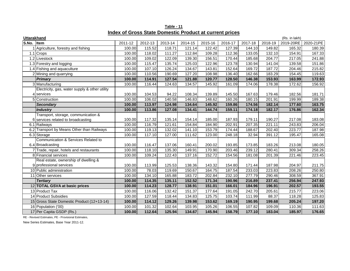| Table - 11                                              |  |
|---------------------------------------------------------|--|
| Index of Gross State Domestic Product at current prices |  |

| <b>Uttarakhand</b> |                                                |         |         |         |         |         |         |         |         | (Rs. in lakh) |           |
|--------------------|------------------------------------------------|---------|---------|---------|---------|---------|---------|---------|---------|---------------|-----------|
| S.No. Item         |                                                | 2011-12 | 2012-13 | 2013-14 | 2014-15 | 2015-16 | 2016-17 | 2017-18 | 2018-19 | 2019-20RE     | 2020-21PE |
|                    | Agriculture, forestry and fishing              | 100.00  | 115.52  | 118.71  | 121.14  | 122.42  | 127.39  | 144.10  | 149.82  | 165.32        | 180.39    |
|                    | $1.1$ Crops                                    | 100.00  | 118.02  | 111.27  | 112.84  | 109.28  | 112.36  | 133.05  | 132.10  | 154.91        | 167.33    |
|                    | 1.2 Livestock                                  | 100.00  | 109.02  | 122.09  | 139.30  | 156.51  | 170.44  | 185.68  | 204.77  | 217.05        | 241.88    |
|                    | 1.3 Forestry and logging                       | 100.00  | 115.47  | 135.74  | 125.03  | 122.96  | 123.78  | 130.94  | 141.04  | 139.58        | 151.86    |
|                    | 1.4 Fishing and aquaculture                    | 100.00  | 107.10  | 126.24  | 134.67  | 143.81  | 152.64  | 169.72  | 187.72  | 204.46        | 215.82    |
|                    | 2 Mining and quarrying                         | 100.00  | 110.56  | 190.69  | 127.20  | 108.98  | 136.40  | 162.66  | 183.29  | 154.45        | 119.63    |
|                    | <b>Primary</b>                                 | 100.00  | 114.91  | 127.54  | 121.88  | 120.77  | 128.50  | 146.38  | 153.93  | 163.99        | 172.93    |
|                    | 3 Manufacturing                                | 100.00  | 116.44  | 124.63  | 134.57  | 145.92  | 161.09  | 174.06  | 178.38  | 172.62        | 156.92    |
|                    | Electricity, gas, water supply & other utility |         |         |         |         |         |         |         |         |               |           |
|                    | services                                       | 100.00  | 104.53  | 94.22   | 108.34  | 139.89  | 145.50  | 167.63  | 179.46  | 182.56        | 181.71    |
|                    | Construction                                   | 100.00  | 106.02  | 140.58  | 146.83  | 148.62  | 160.26  | 180.15  | 201.91  | 199.99        | 189.38    |
|                    | <b>Secondary</b>                               | 100.00  | 113.97  | 124.98  | 134.64  | 145.92  | 159.86  | 174.56  | 182.14  | 177.60        | 163.75    |
|                    | <b>Industry</b>                                | 100.00  | 113.86  | 127.08  | 134.41  | 144.74  | 159.11  | 174.18  | 182.17  | 176.86        | 162.34    |
|                    | Transport, storage, communication &            |         |         |         |         |         |         |         |         |               |           |
|                    | 6 services related to broadcasting             | 100.00  | 117.32  | 135.14  | 154.14  | 185.00  | 187.93  | 179.11  | 190.27  | 217.08        | 183.08    |
|                    | 6.1 Railways                                   | 100.00  | 116.79  | 121.61  | 154.84  | 184.90  | 202.91  | 207.35  | 221.11  | 243.83        | 206.04    |
|                    | 6.2 Transport by Means Other than Railways     | 100.00  | 119.13  | 132.02  | 141.10  | 153.79  | 174.44  | 188.67  | 202.40  | 223.77        | 187.98    |
|                    | 6.3 Storage                                    | 100.00  | 117.10  | 127.00  | 111.62  | 123.00  | 248.18  | 32.94   | 391.12  | 195.47        | 165.08    |
|                    | Communication & Services Related to            |         |         |         |         |         |         |         |         |               |           |
|                    | 6.4 Broadcasting                               | 100.00  | 116.47  | 137.06  | 160.41  | 200.02  | 193.85  | 173.85  | 183.26  | 213.08        | 180.05    |
|                    | 7 Trade, repair, hotels and restaurants        | 100.00  | 118.10  | 135.30  | 149.91  | 170.90  | 203.46  | 239.12  | 280.41  | 309.34        | 258.26    |
|                    | 8 Financial services                           | 100.00  | 109.24  | 122.43  | 137.16  | 152.72  | 154.56  | 181.08  | 201.39  | 221.46        | 223.45    |
|                    | Real estate, ownership of dwelling &           |         |         |         |         |         |         |         |         |               |           |
|                    | 9 professional services                        | 100.00  | 113.99  | 125.53  | 138.36  | 143.32  | 154.80  | 171.44  | 187.98  | 204.97        | 211.75    |
|                    | 10 Public administration                       | 100.00  | 78.03   | 119.69  | 150.67  | 164.75  | 187.54  | 233.03  | 223.83  | 208.26        | 250.80    |
|                    | 11 Other services                              | 100.00  | 134.10  | 165.88  | 183.72  | 202.84  | 232.10  | 277.79  | 290.46  | 308.59        | 367.91    |
|                    | <b>Tertiary</b>                                | 100.00  | 114.35  | 135.11  | 152.52  | 171.34  | 190.96  | 216.89  | 237.41  | 256.94        | 247.93    |
|                    | 12 TOTAL GSVA at basic prices                  | 100.00  | 114.23  | 128.77  | 138.91  | 151.01  | 166.01  | 184.96  | 196.91  | 202.57        | 193.55    |
|                    | 13 Product Tax                                 | 100.00  | 116.06  | 132.42  | 151.37  | 177.64  | 191.05  | 242.70  | 205.61  | 215.77        | 223.06    |
|                    | 14 Product Subsidies                           | 100.00  | 127.59  | 118.44  | 134.83  | 125.75  | 103.74  | 111.99  | 88.37   | 118.28        | 125.83    |
|                    | 15 Gross State Domestic Product (12+13-14)     | 100.00  | 114.12  | 129.26  | 139.98  | 153.62  | 169.19  | 190.95  | 199.68  | 205.24        | 197.20    |
|                    | 16 Population ('00)                            | 100.00  | 101.32  | 102.64  | 103.95  | 105.26  | 106.55  | 107.82  | 109.09  | 110.36        | 111.63    |
|                    | 17 Per Capita GSDP (Rs.)                       | 100.00  | 112.64  | 125.94  | 134.67  | 145.94  | 158.79  | 177.10  | 183.04  | 185.97        | 176.65    |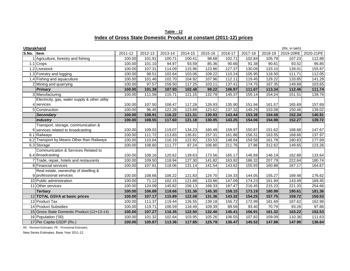**Table - 12 Index of Gross State Domestic Product at constant (2011-12) prices**

| <b>Uttarakhand</b> |                                                |         |         |         |         |         |         |         |         | (Rs. in lakh) |           |
|--------------------|------------------------------------------------|---------|---------|---------|---------|---------|---------|---------|---------|---------------|-----------|
| S.No.              | <b>I</b> tem                                   | 2011-12 | 2012-13 | 2013-14 | 2014-15 | 2015-16 | 2016-17 | 2017-18 | 2018-19 | 2019-20RE     | 2020-21PE |
|                    | Agriculture, forestry and fishing              | 100.00  | 101.91  | 100.71  | 100.41  | 98.68   | 102.71  | 102.84  | 105.79  | 107.23        | 112.88    |
|                    | 1.1 Crops                                      | 100.00  | 101.10  | 94.97   | 93.59   | 85.36   | 90.66   | 91.38   | 90.81   | 93.52         | 96.85     |
|                    | 1.2 Livestock                                  | 100.00  | 107.31  | 114.09  | 115.96  | 123.86  | 127.37  | 130.09  | 133.10  | 139.01        | 155.87    |
|                    | 1.3 Forestry and logging                       | 100.00  | 98.51   | 102.64  | 103.06  | 109.22  | 110.24  | 105.95  | 118.50  | 111.71        | 112.05    |
|                    | 1.4 Fishing and aquaculture                    | 100.00  | 101.46  | 102.70  | 104.92  | 107.96  | 112.11  | 119.45  | 129.22  | 133.85        | 141.29    |
|                    | 2 Mining and quarrying                         | 100.00  | 97.57   | 159.50  | 117.25  | 103.11  | 137.41  | 174.75  | 167.35  | 149.89        | 103.65    |
|                    | <b>Primary</b>                                 | 100.00  | 101.38  | 107.93  | 102.48  | 99.22   | 106.97  | 111.67  | 113.34  | 112.46        | 111.74    |
|                    | 3 Manufacturing                                | 100.00  | 111.56  | 115.71  | 121.15  | 132.78  | 145.37  | 155.14  | 154.24  | 151.51        | 139.76    |
|                    | Electricity, gas, water supply & other utility |         |         |         |         |         |         |         |         |               |           |
|                    | 4 services                                     | 100.00  | 107.50  | 108.47  | 117.28  | 126.93  | 135.90  | 151.94  | 161.57  | 165.69        | 157.69    |
|                    | 5 Construction                                 | 100.00  | 96.45   | 122.28  | 123.89  | 123.62  | 137.32  | 145.29  | 153.08  | 150.46        | 139.02    |
|                    | <b>Secondary</b>                               | 100.00  | 108.91  | 116.22  | 121.31  | 130.93  | 143.44  | 153.38  | 154.58  | 152.34        | 140.91    |
|                    | <b>Industry</b>                                | 100.00  | 108.55  | 117.60  | 121.18  | 130.05  | 143.25  | 154.06  | 154.98  | 152.27        | 139.72    |
|                    | Transport, storage, communication &            |         |         |         |         |         |         |         |         |               |           |
|                    | 6 services related to broadcasting             | 100.00  | 109.02  | 119.07  | 134.23  | 160.49  | 159.97  | 150.87  | 151.62  | 168.68        | 147.67    |
|                    | 6.1 Railways                                   | 100.00  | 111.72  | 113.83  | 135.81  | 157.31  | 161.86  | 156.31  | 163.55  | 168.66        | 137.97    |
|                    | 6.2 Transport by Means Other than Railways     | 100.00  | 110.64  | 116.19  | 122.92  | 133.53  | 148.84  | 159.58  | 161.78  | 180.83        | 177.69    |
|                    | 6.3 Storage                                    | 100.00  | 108.60  | 111.77  | 97.24   | 106.80  | 211.76  | 27.86   | 312.62  | 149.65        | 123.26    |
|                    | Communication & Services Related to            |         |         |         |         |         |         |         |         |               |           |
|                    | 6.4 Broadcasting                               | 100.00  | 108.16  | 120.62  | 139.63  | 173.56  | 165.17  | 146.69  | 146.19  | 162.89        | 133.64    |
|                    | 7 Trade, repair, hotels and restaurants        | 100.00  | 109.50  | 118.94  | 127.30  | 141.82  | 163.92  | 186.32  | 207.79  | 222.64        | 180.74    |
|                    | 8 Financial services                           | 100.00  | 107.81  | 118.06  | 131.14  | 141.54  | 143.62  | 155.93  | 160.88  | 167.17        | 164.67    |
|                    | Real estate, ownership of dwelling &           |         |         |         |         |         |         |         |         |               |           |
|                    | 9 professional services                        | 100.00  | 108.66  | 106.22  | 121.83  | 124.70  | 134.33  | 144.05  | 155.27  | 169.48        | 176.62    |
|                    | 10 Public administration                       | 100.00  | 71.12   | 102.15  | 121.88  | 133.86  | 147.09  | 174.23  | 161.94  | 143.49        | 169.45    |
|                    | 11 Other services                              | 100.00  | 124.09  | 145.82  | 156.13  | 168.33  | 187.47  | 216.45  | 215.23  | 221.33        | 254.66    |
|                    | <b>Tertiary</b>                                | 100.00  | 106.89  | 118.66  | 131.36  | 145.30  | 158.15  | 173.19  | 180.99  | 190.61        | 181.36    |
|                    | 12 TOTAL GSVA at basic prices                  | 100.00  | 107.17  | 115.89  | 122.08  | 131.36  | 143.32  | 154.25  | 157.75  | 159.72        | 150.53    |
|                    | 13 Product Tax                                 | 100.00  | 111.37  | 119.44  | 126.55  | 139.18  | 156.72  | 172.99  | 181.69  | 187.62        | 162.98    |
|                    | 14 Product Subsidies                           | 100.00  | 119.71  | 106.59  | 118.49  | 109.39  | 89.56   | 93.40   | 70.79   | 93.26         | 97.86     |
|                    | 15 Gross State Domestic Product (12+13-14)     | 100.00  | 107.27  | 116.35  | 122.50  | 132.40  | 145.41  | 156.91  | 161.32  | 163.22        | 152.53    |
|                    | 16 Population ('00)                            | 100.00  | 101.32  | 102.64  | 103.95  | 105.26  | 106.55  | 107.82  | 109.09  | 110.36        | 111.63    |
|                    | 17 Per Capita GSDP (Rs.)                       | 100.00  | 105.87  | 113.36  | 117.85  | 125.78  | 136.47  | 145.52  | 147.88  | 147.90        | 136.64    |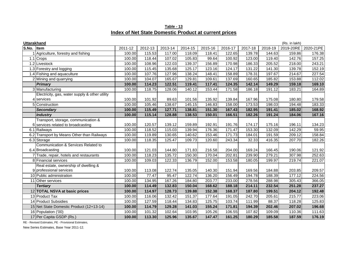| Table - 13                                            |
|-------------------------------------------------------|
| Index of Net State Domestic Product at current prices |

| Uttarakhand |                                                |         |         |         |         |         |         |         |         | (Rs. in lakh) |           |
|-------------|------------------------------------------------|---------|---------|---------|---------|---------|---------|---------|---------|---------------|-----------|
| S.No.       | <b>I</b> tem                                   | 2011-12 | 2012-13 | 2013-14 | 2014-15 | 2015-16 | 2016-17 | 2017-18 | 2018-19 | 2019-20RE     | 2020-21PE |
|             | Agriculture, forestry and fishing              | 100.00  | 115.53  | 117.00  | 118.09  | 118.41  | 122.65  | 139.78  | 144.63  | 159.86        | 176.38    |
|             | $1.1$ Crops                                    | 100.00  | 118.44  | 107.02  | 105.83  | 99.64   | 100.92  | 123.00  | 119.40  | 142.76        | 157.25    |
|             | 1.2 Livestock                                  | 100.00  | 108.96  | 122.03  | 139.37  | 156.89  | 170.98  | 186.33  | 205.52  | 218.00        | 243.21    |
|             | 1.3 Forestry and logging                       | 100.00  | 115.45  | 135.68  | 125.17  | 123.16  | 124.17  | 131.22  | 141.30  | 139.78        | 152.19    |
|             | 1.4 Fishing and aquaculture                    | 100.00  | 107.76  | 127.96  | 138.24  | 148.41  | 158.89  | 178.31  | 197.67  | 214.67        | 227.54    |
|             | 2 Mining and quarrying                         | 100.00  | 104.07  | 165.67  | 129.81  | 109.61  | 137.69  | 160.65  | 185.82  | 153.88        | 112.02    |
|             | <b>Primary</b>                                 | 100.00  | 114.23  | 122.51  | 119.41  | 117.41  | 124.35  | 142.14  | 149.29  | 159.18        | 169.10    |
|             | 3 Manufacturing                                | 100.00  | 118.75  | 128.06  | 140.12  | 153.44  | 171.58  | 186.18  | 191.12  | 183.21        | 164.89    |
|             | Electricity, gas, water supply & other utility |         |         |         |         |         |         |         |         |               |           |
|             | 4 services                                     | 100.00  | 101.92  | 89.63   | 101.56  | 135.92  | 139.84  | 167.96  | 175.08  | 180.80        | 179.58    |
|             | 5 Construction                                 | 100.00  | 105.46  | 138.67  | 145.15  | 146.83  | 158.00  | 173.53  | 198.03  | 194.48        | 183.33    |
|             | <b>Secondary</b>                               | 100.00  | 115.49  | 127.71  | 138.81  | 151.30  | 167.43  | 182.95  | 191.41  | 185.02        | 168.92    |
|             | <b>Industry</b>                                | 100.00  | 115.14  | 128.88  | 138.53  | 150.01  | 166.51  | 182.26  | 191.24  | 184.06        | 167.16    |
|             | Transport, storage, communication &            |         |         |         |         |         |         |         |         |               |           |
|             | services related to broadcasting               | 100.00  | 120.57  | 139.12  | 159.89  | 192.91  | 191.76  | 174.17  | 175.16  | 196.11        | 134.23    |
|             | 6.1 Railways                                   | 100.00  | 118.52  | 115.03  | 139.94  | 176.36  | 171.47  | 153.30  | 132.09  | 142.29        | 59.95     |
|             | 6.2 Transport by Means Other than Railways     | 100.00  | 119.89  | 130.65  | 140.62  | 153.46  | 171.73  | 184.01  | 191.59  | 209.12        | 158.84    |
|             | 6.3 Storage                                    | 100.00  | 118.35  | 125.47  | 109.73  | 120.60  | 243.34  | 32.33   | 416.35  | 207.70        | 182.26    |
|             | Communication & Services Related to            |         |         |         |         |         |         |         |         |               |           |
|             | 6.4 Broadcasting                               | 100.00  | 121.03  | 144.80  | 171.83  | 216.58  | 204.00  | 169.24  | 166.45  | 190.06        | 121.92    |
|             | 7 Trade, repair, hotels and restaurants        | 100.00  | 118.23  | 135.72  | 150.30  | 170.04  | 202.81  | 239.90  | 279.21  | 307.98        | 252.63    |
|             | 8 Financial services                           | 100.00  | 109.03  | 122.33  | 136.79  | 152.00  | 153.58  | 180.05  | 199.97  | 219.74        | 221.07    |
|             | Real estate, ownership of dwelling &           |         |         |         |         |         |         |         |         |               |           |
|             | 9 professional services                        | 100.00  | 113.08  | 122.74  | 135.05  | 140.30  | 151.94  | 169.56  | 184.88  | 203.85        | 209.57    |
|             | 10 Public administration                       | 100.00  | 77.47   | 95.47   | 122.74  | 136.20  | 156.49  | 194.78  | 188.39  | 177.12        | 224.56    |
|             | 11 Other services                              | 100.00  | 134.95  | 167.26  | 184.80  | 203.77  | 233.00  | 278.56  | 288.98  | 305.43        | 366.05    |
|             | <b>Tertiary</b>                                | 100.00  | 114.49  | 132.83  | 150.04  | 168.62  | 188.18  | 214.11  | 232.54  | 251.28        | 237.27    |
|             | 12 TOTAL NSVA at basic prices                  | 100.00  | 114.97  | 128.73  | 139.88  | 152.38  | 168.37  | 187.80  | 199.51  | 204.12        | 192.48    |
|             | 13 Product Tax                                 | 100.00  | 116.06  | 132.42  | 151.37  | 177.64  | 191.05  | 242.70  | 205.61  | 215.77        | 223.06    |
|             | 14 Product Subsidies                           | 100.00  | 127.59  | 118.44  | 134.83  | 125.75  | 103.74  | 111.99  | 88.37   | 118.28        | 125.83    |
|             | 15 Net State Domestic Product (12+13-14)       | 100.00  | 114.79  | 129.28  | 141.03  | 155.24  | 171.81  | 194.39  | 202.46  | 207.02        | 196.68    |
|             | 16 Population ('00)                            | 100.00  | 101.32  | 102.64  | 103.95  | 105.26  | 106.55  | 107.82  | 109.09  | 110.36        | 111.63    |
|             | 17 Per Capita GSDP (Rs.)                       | 100.00  | 113.30  | 125.96  | 135.67  | 147.47  | 161.25  | 180.29  | 185.58  | 187.59        | 176.19    |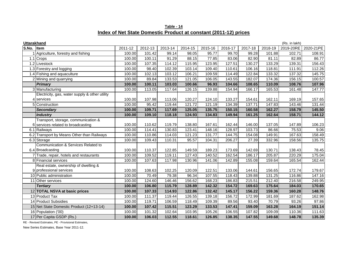**Table - 14 Index of Net State Domestic Product at constant (2011-12) prices**

|            | Uttarakhand                                    |         |         |         |         |         |         |         |         | (Rs. in lakh) |           |
|------------|------------------------------------------------|---------|---------|---------|---------|---------|---------|---------|---------|---------------|-----------|
| S.No. Item |                                                | 2011-12 | 2012-13 | 2013-14 | 2014-15 | 2015-16 | 2016-17 | 2017-18 | 2018-19 | 2019-20RE     | 2020-21PE |
|            | Agriculture, forestry and fishing              | 100.00  | 101.42  | 99.14   | 98.05   | 95.77   | 99.70   | 99.28   | 101.88  | 102.71        | 108.91    |
|            | 1.1 Crops                                      | 100.00  | 100.11  | 91.29   | 88.15   | 77.85   | 83.06   | 82.90   | 81.11   | 82.89         | 86.77     |
|            | 1.2 Livestock                                  | 100.00  | 107.35  | 114.12  | 115.95  | 123.95  | 127.51  | 130.27  | 133.29  | 139.31        | 156.43    |
|            | 1.3 Forestry and logging                       | 100.00  | 98.40   | 102.39  | 103.14  | 109.40  | 110.61  | 106.16  | 118.81  | 111.91        | 112.26    |
|            | 1.4 Fishing and aquaculture                    | 100.00  | 102.13  | 103.12  | 106.21  | 109.59  | 114.49  | 122.84  | 133.32  | 137.32        | 145.75    |
|            | 2 Mining and quarrying                         | 100.00  | 89.84   | 133.53  | 121.05  | 106.05  | 143.55  | 182.07  | 174.36  | 156.15        | 100.57    |
|            | <b>Primary</b>                                 | 100.00  | 100.11  | 103.03  | 100.66  | 96.93   | 104.66  | 108.65  | 110.09  | 108.76        | 107.96    |
|            | 3 Manufacturing                                | 100.00  | 113.05  | 117.64  | 126.15  | 139.88  | 154.94  | 166.17  | 165.53  | 161.48        | 147.77    |
|            | Electricity, gas, water supply & other utility |         |         |         |         |         |         |         |         |               |           |
|            | 4 services                                     | 100.00  | 107.98  | 113.06  | 120.27  | 124.10  | 133.27  | 154.61  | 162.11  | 169.19        | 157.65    |
|            | 5 Construction                                 | 100.00  | 95.42   | 119.44  | 121.72  | 121.19  | 134.39  | 137.71  | 147.83  | 143.46        | 131.44    |
|            | <b>Secondary</b>                               | 100.00  | 109.71  | 117.69  | 125.05  | 135.75  | 150.15  | 160.58  | 162.27  | 158.79        | 145.50    |
|            | <b>Industry</b>                                | 100.00  | 109.10  | 118.18  | 124.93  | 134.83  | 149.94  | 161.25  | 162.64  | 158.71        | 144.12    |
|            | Transport, storage, communication &            |         |         |         |         |         |         |         |         |               |           |
|            | 6 services related to broadcasting             | 100.00  | 110.62  | 119.79  | 138.80  | 167.61  | 162.44  | 146.00  | 137.05  | 147.89        | 106.23    |
|            | 6.1 Railways                                   | 100.00  | 114.41  | 130.83  | 123.41  | 148.16  | 128.97  | 103.73  | 86.66   | 75.53         | 9.06      |
|            | 6.2 Transport by Means Other than Railways     | 100.00  | 110.86  | 114.03  | 121.23  | 131.77  | 144.75  | 154.08  | 149.91  | 167.63        | 158.49    |
|            | 6.3 Storage                                    | 100.00  | 109.43  | 110.31  | 95.57   | 104.31  | 206.27  | 27.39   | 332.96  | 158.56        | 135.75    |
|            | Communication & Services Related to            |         |         |         |         |         |         |         |         |               |           |
|            | 6.4 Broadcasting                               | 100.00  | 110.37  | 122.85  | 149.59  | 189.23  | 173.69  | 142.69  | 130.71  | 138.43        | 78.45     |
|            | 7 Trade, repair, hotels and restaurants        | 100.00  | 109.52  | 119.11  | 127.43  | 140.52  | 162.54  | 186.17  | 205.87  | 220.29        | 175.04    |
|            | 8 Financial services                           | 100.00  | 107.63  | 117.98  | 130.96  | 141.06  | 142.89  | 155.08  | 159.64  | 165.54        | 162.44    |
|            | Real estate, ownership of dwelling &           |         |         |         |         |         |         |         |         |               |           |
|            | 9 professional services                        | 100.00  | 108.63  | 102.25  | 120.09  | 122.51  | 133.06  | 144.61  | 156.65  | 172.74        | 179.67    |
|            | 10 Public administration                       | 100.00  | 70.49   | 79.38   | 96.34   | 107.55  | 118.43  | 139.88  | 131.25  | 116.86        | 147.16    |
|            | 11 Other services                              | 100.00  | 124.60  | 146.46  | 156.62  | 168.23  | 186.83  | 215.51  | 212.40  | 216.58        | 249.95    |
|            | <b>Tertiary</b>                                | 100.00  | 106.80  | 115.79  | 128.89  | 142.32  | 154.72  | 169.63  | 175.64  | 184.03        | 170.65    |
|            | 12 TOTAL NSVA at basic prices                  | 100.00  | 107.33  | 114.93  | 122.86  | 132.42  | 145.17  | 156.22  | 159.36  | 160.28        | 148.76    |
|            | 13 Product Tax                                 | 100.00  | 111.37  | 119.44  | 126.55  | 139.18  | 156.72  | 172.99  | 181.69  | 187.62        | 162.98    |
|            | 14 Product Subsidies                           | 100.00  | 119.71  | 106.59  | 118.49  | 109.39  | 89.56   | 93.40   | 70.79   | 93.26         | 97.86     |
|            | 15 Net State Domestic Product (12+13-14)       | 100.00  | 107.42  | 115.51  | 123.29  | 133.53  | 147.41  | 159.09  | 163.28  | 164.19        | 151.14    |
|            | 16 Population ('00)                            | 100.00  | 101.32  | 102.64  | 103.95  | 105.26  | 106.55  | 107.82  | 109.09  | 110.36        | 111.63    |
|            | 17 Per Capita GSDP (Rs.)                       | 100.00  | 106.03  | 112.55  | 118.61  | 126.85  | 138.35  | 147.55  | 149.68  | 148.78        | 135.39    |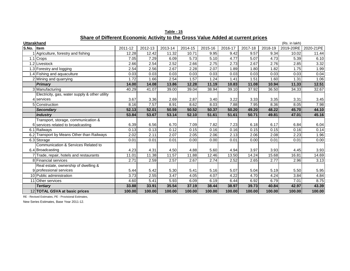| <b>Uttarakhand</b> |                                                |         |         |         |         |         |         |         |         | (Rs. in lakh) |           |
|--------------------|------------------------------------------------|---------|---------|---------|---------|---------|---------|---------|---------|---------------|-----------|
| S.No. Item         |                                                | 2011-12 | 2012-13 | 2013-14 | 2014-15 | 2015-16 | 2016-17 | 2017-18 | 2018-19 | 2019-20RE     | 2020-21PE |
|                    | Agriculture, forestry and fishing              | 12.28   | 12.42   | 11.32   | 10.71   | 9.95    | 9.42    | 9.57    | 9.34    | 10.02         | 11.44     |
|                    | $1.1$ Crops                                    | 7.05    | 7.29    | 6.09    | 5.73    | 5.10    | 4.77    | 5.07    | 4.73    | 5.39          | 6.10      |
|                    | 1.2 Livestock                                  | 2.66    | 2.54    | 2.52    | 2.66    | 2.75    | 2.73    | 2.67    | 2.76    | 2.85          | 3.32      |
|                    | 1.3 Forestry and logging                       | 2.54    | 2.56    | 2.67    | 2.28    | 2.07    | 1.89    | 1.80    | 1.82    | 1.75          | 1.99      |
|                    | 1.4 Fishing and aquaculture                    | 0.03    | 0.03    | 0.03    | 0.03    | 0.03    | 0.03    | 0.03    | 0.03    | 0.03          | 0.04      |
|                    | 2 Mining and quarrying                         | 1.72    | 1.66    | 2.54    | 1.57    | 1.24    | 1.41    | 1.51    | 1.60    | 1.31          | 1.06      |
|                    | <b>Primary</b>                                 | 14.00   | 14.08   | 13.86   | 12.28   | 11.19   | 10.83   | 11.08   | 10.94   | 11.33         | 12.51     |
|                    | 3 Manufacturing                                | 40.29   | 41.07   | 39.00   | 39.04   | 38.94   | 39.10   | 37.92   | 36.50   | 34.33         | 32.67     |
|                    | Electricity, gas, water supply & other utility |         |         |         |         |         |         |         |         |               |           |
|                    | 4 services                                     | 3.67    | 3.36    | 2.69    | 2.87    | 3.40    | 3.22    | 3.33    | 3.35    | 3.31          | 3.45      |
|                    | 5 Construction                                 | 8.16    | 7.57    | 8.91    | 8.62    | 8.03    | 7.88    | 7.95    | 8.36    | 8.05          | 7.98      |
|                    | <b>Secondary</b>                               | 52.13   | 52.01   | 50.59   | 50.52   | 50.37   | 50.20   | 49.20   | 48.22   | 45.70         | 44.10     |
|                    | <b>Industry</b>                                | 53.84   | 53.67   | 53.14   | 52.10   | 51.61   | 51.61   | 50.71   | 49.81   | 47.01         | 45.16     |
|                    | Transport, storage, communication &            |         |         |         |         |         |         |         |         |               |           |
|                    | 6 services related to broadcasting             | 6.39    | 6.56    | 6.70    | 7.09    | 7.82    | 7.23    | 6.18    | 6.17    | 6.84          | 6.04      |
|                    | 6.1 Railways                                   | 0.13    | 0.13    | 0.12    | 0.15    | 0.16    | 0.16    | 0.15    | 0.15    | 0.16          | 0.14      |
|                    | Transport by Means Other than Railways         | 2.02    | 2.11    | 2.07    | 2.05    | 2.06    | 2.13    | 2.06    | 2.08    | 2.23          | 1.96      |
|                    | 6.3 Storage                                    | 0.01    | 0.01    | 0.01    | 0.00    | 0.00    | 0.01    | 0.00    | 0.01    | 0.01          | 0.00      |
|                    | Communication & Services Related to            |         |         |         |         |         |         |         |         |               |           |
|                    | 6.4 Broadcasting                               | 4.23    | 4.31    | 4.50    | 4.88    | 5.60    | 4.94    | 3.97    | 3.93    | 4.45          | 3.93      |
|                    | 7 Trade, repair, hotels and restaurants        | 11.01   | 11.38   | 11.57   | 11.88   | 12.46   | 13.50   | 14.24   | 15.68   | 16.81         | 14.69     |
|                    | 8 Financial services                           | 2.71    | 2.59    | 2.57    | 2.67    | 2.74    | 2.52    | 2.65    | 2.77    | 2.96          | 3.13      |
|                    | Real estate, ownership of dwelling &           |         |         |         |         |         |         |         |         |               |           |
|                    | 9 professional services                        | 5.44    | 5.42    | 5.30    | 5.41    | 5.16    | 5.07    | 5.04    | 5.19    | 5.50          | 5.95      |
|                    | 10 Public administration                       | 3.73    | 2.55    | 3.47    | 4.05    | 4.07    | 4.22    | 4.70    | 4.24    | 3.84          | 4.84      |
|                    | 11 Other services                              | 4.60    | 5.41    | 5.93    | 6.09    | 6.19    | 6.44    | 6.92    | 6.79    | 7.01          | 8.75      |
|                    | <b>Tertiary</b>                                | 33.88   | 33.91   | 35.54   | 37.19   | 38.44   | 38.97   | 39.73   | 40.84   | 42.97         | 43.39     |
|                    | 12 <b>TOTAL GSVA at basic prices</b>           | 100.00  | 100.00  | 100.00  | 100.00  | 100.00  | 100.00  | 100.00  | 100.00  | 100.00        | 100.00    |

**Table - 15 Share of Different Economic Activity to the Gross Value Added at current prices**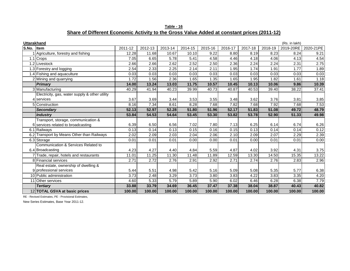**Table - 16 Share of Different Economic Activity to the Gross Value Added at constant prices (2011-12)**

| <b>Uttarakhand</b> |                                                |         |         |         |         |         |         |         |         | (Rs. in lakh) |           |
|--------------------|------------------------------------------------|---------|---------|---------|---------|---------|---------|---------|---------|---------------|-----------|
| S.No.              | <b>Iltem</b>                                   | 2011-12 | 2012-13 | 2013-14 | 2014-15 | 2015-16 | 2016-17 | 2017-18 | 2018-19 | 2019-20RE     | 2020-21PE |
|                    | Agriculture, forestry and fishing              | 12.28   | 11.68   | 10.67   | 10.10   | 9.22    | 8.80    | 8.19    | 8.23    | 8.24          | 9.21      |
|                    | 1.1 Crops                                      | 7.05    | 6.65    | 5.78    | 5.41    | 4.58    | 4.46    | 4.18    | 4.06    | 4.13          | 4.54      |
|                    | 1.2 Livestock                                  | 2.66    | 2.66    | 2.62    | 2.52    | 2.50    | 2.36    | 2.24    | 2.24    | 2.31          | 2.75      |
|                    | 1.3 Forestry and logging                       | 2.54    | 2.33    | 2.25    | 2.14    | 2.11    | 1.95    | 1.74    | 1.91    | 1.77          | 1.89      |
|                    | 1.4 Fishing and aquaculture                    | 0.03    | 0.03    | 0.03    | 0.03    | 0.03    | 0.03    | 0.03    | 0.03    | 0.03          | 0.03      |
|                    | 2 Mining and quarrying                         | 1.72    | 1.56    | 2.36    | 1.65    | 1.35    | 1.65    | 1.95    | 1.82    | 1.61          | 1.18      |
|                    | <b>Primary</b>                                 | 14.00   | 13.24   | 13.03   | 11.75   | 10.57   | 10.45   | 10.13   | 10.06   | 9.86          | 10.39     |
|                    | 3 Manufacturing                                | 40.29   | 41.94   | 40.23   | 39.99   | 40.73   | 40.87   | 40.53   | 39.40   | 38.22         | 37.41     |
|                    | Electricity, gas, water supply & other utility |         |         |         |         |         |         |         |         |               |           |
|                    | 4 services                                     | 3.67    | 3.69    | 3.44    | 3.53    | 3.55    | 3.48    | 3.62    | 3.76    | 3.81          | 3.85      |
|                    | 5 Construction                                 | 8.16    | 7.34    | 8.61    | 8.28    | 7.68    | 7.82    | 7.68    | 7.92    | 7.68          | 7.53      |
|                    | <b>Secondary</b>                               | 52.13   | 52.97   | 52.28   | 51.80   | 51.96   | 52.17   | 51.83   | 51.08   | 49.72         | 48.79     |
|                    | <b>Industry</b>                                | 53.84   | 54.53   | 54.64   | 53.45   | 53.30   | 53.82   | 53.78   | 52.90   | 51.33         | 49.98     |
|                    | Transport, storage, communication &            |         |         |         |         |         |         |         |         |               |           |
|                    | 6 services related to broadcasting             | 6.39    | 6.50    | 6.56    | 7.02    | 7.80    | 7.13    | 6.25    | 6.14    | 6.74          | 6.26      |
|                    | 6.1 Railways                                   | 0.13    | 0.14    | 0.13    | 0.15    | 0.16    | 0.15    | 0.13    | 0.14    | 0.14          | 0.12      |
| 6.2                | Transport by Means Other than Railways         | 2.02    | 2.09    | 2.03    | 2.04    | 2.06    | 2.10    | 2.09    | 2.07    | 2.29          | 2.39      |
|                    | 6.3 Storage                                    | 0.01    | 0.01    | 0.01    | 0.00    | 0.00    | 0.01    | 0.00    | 0.01    | 0.01          | 0.00      |
|                    | Communication & Services Related to            |         |         |         |         |         |         |         |         |               |           |
|                    | 6.4 Broadcasting                               | 4.23    | 4.27    | 4.40    | 4.84    | 5.59    | 4.87    | 4.02    | 3.92    | 4.31          | 3.75      |
|                    | 7 Trade, repair, hotels and restaurants        | 11.01   | 11.25   | 11.30   | 11.48   | 11.89   | 12.59   | 13.30   | 14.50   | 15.35         | 13.22     |
|                    | 8 Financial services                           | 2.71    | 2.72    | 2.76    | 2.91    | 2.92    | 2.71    | 2.74    | 2.76    | 2.83          | 2.96      |
|                    | Real estate, ownership of dwelling &           |         |         |         |         |         |         |         |         |               |           |
|                    | 9 professional services                        | 5.44    | 5.51    | 4.98    | 5.42    | 5.16    | 5.09    | 5.08    | 5.35    | 5.77          | 6.38      |
|                    | 10 Public administration                       | 3.73    | 2.48    | 3.29    | 3.73    | 3.80    | 3.83    | 4.22    | 3.83    | 3.35          | 4.20      |
|                    | 11 Other services                              | 4.60    | 5.33    | 5.79    | 5.89    | 5.90    | 6.02    | 6.46    | 6.28    | 6.38          | 7.79      |
|                    | <b>Tertiary</b>                                | 33.88   | 33.79   | 34.69   | 36.45   | 37.47   | 37.38   | 38.04   | 38.87   | 40.43         | 40.82     |
|                    | 12 TOTAL GSVA at basic prices                  | 100.00  | 100.00  | 100.00  | 100.00  | 100.00  | 100.00  | 100.00  | 100.00  | 100.00        | 100.00    |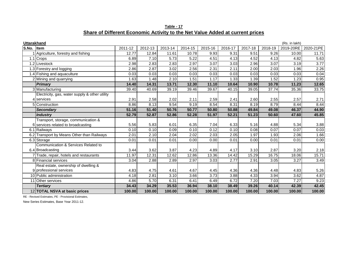**Table - 17 Share of Different Economic Activity to the Net Value Added at current prices**

| Uttarakhand |                                                |         |         |         |         |         |         |         |                                   | (Rs. in lakh) |        |  |  |  |
|-------------|------------------------------------------------|---------|---------|---------|---------|---------|---------|---------|-----------------------------------|---------------|--------|--|--|--|
| S.No.       | <b>I</b> tem                                   | 2011-12 | 2012-13 | 2013-14 | 2014-15 | 2015-16 | 2016-17 | 2017-18 | 2018-19<br>2019-20RE<br>2020-21PE |               |        |  |  |  |
|             | Agriculture, forestry and fishing              | 12.77   | 12.84   | 11.61   | 10.78   | 9.93    | 9.31    | 9.51    | 9.26                              | 10.00         | 11.71  |  |  |  |
|             | 1.1 Crops                                      | 6.89    | 7.10    | 5.73    | 5.22    | 4.51    | 4.13    | 4.52    | 4.13                              | 4.82          | 5.63   |  |  |  |
|             | 1.2 Livestock                                  | 2.98    | 2.83    | 2.83    | 2.97    | 3.07    | 3.03    | 2.96    | 3.07                              | 3.19          | 3.77   |  |  |  |
|             | 1.3 Forestry and logging                       | 2.86    | 2.87    | 3.02    | 2.56    | 2.31    | 2.11    | 2.00    | 2.03                              | 1.96          | 2.26   |  |  |  |
|             | 1.4 Fishing and aquaculture                    | 0.03    | 0.03    | 0.03    | 0.03    | 0.03    | 0.03    | 0.03    | 0.03                              | 0.03          | 0.04   |  |  |  |
|             | 2 Mining and quarrying                         | 1.63    | 1.48    | 2.10    | 1.51    | 1.17    | 1.33    | 1.39    | 1.52                              | 1.23          | 0.95   |  |  |  |
|             | <b>Primary</b>                                 | 14.40   | 14.31   | 13.71   | 12.30   | 11.10   | 10.64   | 10.90   | 10.78                             | 11.23         | 12.65  |  |  |  |
|             | 3 Manufacturing                                | 39.40   | 40.69   | 39.19   | 39.46   | 39.67   | 40.15   | 39.05   | 37.74                             | 35.36         | 33.75  |  |  |  |
|             | Electricity, gas, water supply & other utility |         |         |         |         |         |         |         |                                   |               |        |  |  |  |
|             | 4 services                                     | 2.91    | 2.58    | 2.02    | 2.11    | 2.59    | 2.41    | 2.60    | 2.55                              | 2.57          | 2.71   |  |  |  |
|             | 5 Construction                                 | 8.86    | 8.13    | 9.54    | 9.19    | 8.54    | 8.31    | 8.19    | 8.79                              | 8.44          | 8.44   |  |  |  |
|             | <b>Secondary</b>                               | 51.16   | 51.40   | 50.76   | 50.77   | 50.80   | 50.88   | 49.84   | 49.08                             | 46.37         | 44.90  |  |  |  |
|             | <b>Industry</b>                                | 52.79   | 52.87   | 52.86   | 52.28   | 51.97   | 52.21   | 51.23   | 50.60                             | 47.60         | 45.85  |  |  |  |
|             | Transport, storage, communication &            |         |         |         |         |         |         |         |                                   |               |        |  |  |  |
|             | 6 services related to broadcasting             | 5.56    | 5.83    | 6.01    | 6.35    | 7.04    | 6.33    | 5.16    | 4.88                              | 5.34          | 3.88   |  |  |  |
|             | 6.1 Railways                                   | 0.10    | 0.10    | 0.09    | 0.10    | 0.12    | 0.10    | 0.08    | 0.07                              | 0.07          | 0.03   |  |  |  |
|             | 6.2 Transport by Means Other than Railways     | 2.01    | 2.10    | 2.04    | 2.02    | 2.03    | 2.05    | 1.97    | 1.93                              | 2.06          | 1.66   |  |  |  |
|             | 6.3 Storage                                    | 0.01    | 0.01    | 0.01    | 0.00    | 0.00    | 0.01    | 0.00    | 0.01                              | 0.01          | 0.00   |  |  |  |
|             | Communication & Services Related to            |         |         |         |         |         |         |         |                                   |               |        |  |  |  |
|             | 6.4 Broadcasting                               | 3.44    | 3.62    | 3.87    | 4.23    | 4.89    | 4.17    | 3.10    | 2.87                              | 3.20          | 2.18   |  |  |  |
|             | Trade, repair, hotels and restaurants          | 11.97   | 12.31   | 12.62   | 12.86   | 13.36   | 14.42   | 15.29   | 16.75                             | 18.06         | 15.71  |  |  |  |
|             | 8 Financial services                           | 3.04    | 2.88    | 2.89    | 2.97    | 3.03    | 2.77    | 2.91    | 3.05                              | 3.27          | 3.49   |  |  |  |
|             | Real estate, ownership of dwelling &           |         |         |         |         |         |         |         |                                   |               |        |  |  |  |
|             | 9 professional services                        | 4.83    | 4.75    | 4.61    | 4.67    | 4.45    | 4.36    | 4.36    | 4.48                              | 4.83          | 5.26   |  |  |  |
|             | 10 Public administration                       | 4.18    | 2.81    | 3.10    | 3.66    | 3.73    | 3.88    | 4.33    | 3.94                              | 3.62          | 4.87   |  |  |  |
|             | 11 Other services                              | 4.86    | 5.70    | 6.31    | 6.41    | 6.49    | 6.72    | 7.20    | 7.03                              | 7.27          | 9.23   |  |  |  |
|             | <b>Tertiarv</b>                                | 34.43   | 34.29   | 35.53   | 36.94   | 38.10   | 38.49   | 39.26   | 40.14                             | 42.39         | 42.45  |  |  |  |
|             | 12 TOTAL NSVA at basic prices                  | 100.00  | 100.00  | 100.00  | 100.00  | 100.00  | 100.00  | 100.00  | 100.00                            | 100.00        | 100.00 |  |  |  |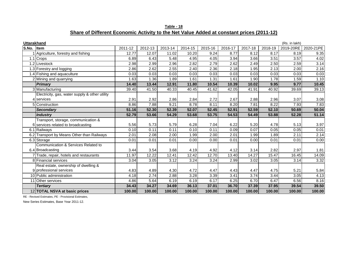**Table - 18 Share of Different Economic Activity to the Net Value Added at constant prices (2011-12)**

|            | Uttarakhand<br>(Rs. in lakh)                   |         |         |         |         |         |         |         |         |           |           |
|------------|------------------------------------------------|---------|---------|---------|---------|---------|---------|---------|---------|-----------|-----------|
| S.No. Item |                                                | 2011-12 | 2012-13 | 2013-14 | 2014-15 | 2015-16 | 2016-17 | 2017-18 | 2018-19 | 2019-20RE | 2020-21PE |
|            | Agriculture, forestry and fishing              | 12.77   | 12.07   | 11.02   | 10.20   | 9.24    | 8.77    | 8.12    | 8.17    | 8.19      | 9.35      |
|            | 1.1 Crops                                      | 6.89    | 6.43    | 5.48    | 4.95    | 4.05    | 3.94    | 3.66    | 3.51    | 3.57      | 4.02      |
|            | 1.2 Livestock                                  | 2.98    | 2.99    | 2.96    | 2.82    | 2.79    | 2.62    | 2.49    | 2.50    | 2.59      | 3.14      |
|            | 1.3 Forestry and logging                       | 2.86    | 2.62    | 2.55    | 2.40    | 2.36    | 2.18    | 1.95    | 2.13    | 2.00      | 2.16      |
|            | 1.4 Fishing and aquaculture                    | 0.03    | 0.03    | 0.03    | 0.03    | 0.03    | 0.03    | 0.03    | 0.03    | 0.03      | 0.03      |
|            | 2 Mining and quarrying                         | 1.63    | 1.36    | 1.89    | 1.61    | 1.31    | 1.61    | 1.90    | 1.78    | 1.59      | 1.10      |
|            | <b>Primary</b>                                 | 14.40   | 13.44   | 12.91   | 11.80   | 10.54   | 10.39   | 10.02   | 9.95    | 9.77      | 10.45     |
|            | 3 Manufacturing                                | 39.40   | 41.50   | 40.33   | 40.45   | 41.62   | 42.05   | 41.91   | 40.92   | 39.69     | 39.13     |
|            | Electricity, gas, water supply & other utility |         |         |         |         |         |         |         |         |           |           |
|            | 4 services                                     | 2.91    | 2.92    | 2.86    | 2.84    | 2.72    | 2.67    | 2.88    | 2.96    | 3.07      | 3.08      |
|            | 5 Construction                                 | 8.86    | 7.88    | 9.21    | 8.78    | 8.11    | 8.20    | 7.81    | 8.22    | 7.93      | 7.83      |
|            | <b>Secondary</b>                               | 51.16   | 52.30   | 52.39   | 52.07   | 52.45   | 52.91   | 52.59   | 52.10   | 50.69     | 50.04     |
|            | <b>Industry</b>                                | 52.79   | 53.66   | 54.29   | 53.68   | 53.75   | 54.53   | 54.49   | 53.88   | 52.28     | 51.14     |
|            | Transport, storage, communication &            |         |         |         |         |         |         |         |         |           |           |
|            | 6 services related to broadcasting             | 5.56    | 5.73    | 5.79    | 6.28    | 7.04    | 6.22    | 5.20    | 4.78    | 5.13      | 3.97      |
|            | 6.1 Railways                                   | 0.10    | 0.11    | 0.11    | 0.10    | 0.11    | 0.09    | 0.07    | 0.05    | 0.05      | 0.01      |
|            | 6.2 Transport by Means Other than Railways     | 2.01    | 2.08    | 2.00    | 1.99    | 2.00    | 2.01    | 1.99    | 1.89    | 2.11      | 2.14      |
|            | 6.3 Storage                                    | 0.01    | 0.01    | 0.01    | 0.00    | 0.00    | 0.01    | 0.00    | 0.01    | 0.01      | 0.00      |
|            | Communication & Services Related to            |         |         |         |         |         |         |         |         |           |           |
|            | 6.4 Broadcasting                               | 3.44    | 3.54    | 3.68    | 4.19    | 4.92    | 4.12    | 3.14    | 2.82    | 2.97      | 1.81      |
|            | 7 Trade, repair, hotels and restaurants        | 11.97   | 12.22   | 12.41   | 12.42   | 12.70   | 13.40   | 14.27   | 15.47   | 16.45     | 14.09     |
|            | 8 Financial services                           | 3.04    | 3.05    | 3.12    | 3.24    | 3.24    | 2.99    | 3.02    | 3.05    | 3.14      | 3.32      |
|            | Real estate, ownership of dwelling &           |         |         |         |         |         |         |         |         |           |           |
|            | 9 professional services                        | 4.83    | 4.89    | 4.30    | 4.72    | 4.47    | 4.43    | 4.47    | 4.75    | 5.21      | 5.84      |
|            | 10 Public administration                       | 4.18    | 2.74    | 2.88    | 3.28    | 3.39    | 3.41    | 3.74    | 3.44    | 3.05      | 4.13      |
|            | 11 Other services                              | 4.86    | 5.64    | 6.19    | 6.19    | 6.17    | 6.25    | 6.70    | 6.47    | 6.56      | 8.16      |
|            | <b>Tertiary</b>                                | 34.43   | 34.27   | 34.69   | 36.13   | 37.01   | 36.70   | 37.39   | 37.95   | 39.54     | 39.50     |
|            | 12 TOTAL NSVA at basic prices                  | 100.00  | 100.00  | 100.00  | 100.00  | 100.00  | 100.00  | 100.00  | 100.00  | 100.00    | 100.00    |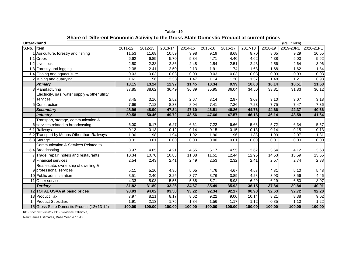| <b>Uttarakhand</b> |                                                |         |         |         |         |         |         |         |         | (Rs. in lakh) |           |
|--------------------|------------------------------------------------|---------|---------|---------|---------|---------|---------|---------|---------|---------------|-----------|
| S.No.              | Item                                           | 2011-12 | 2012-13 | 2013-14 | 2014-15 | 2015-16 | 2016-17 | 2017-18 | 2018-19 | 2019-20RE     | 2020-21PE |
|                    | 1 Agriculture, forestry and fishing            | 11.53   | 11.68   | 10.59   | 9.98    | 9.19    | 8.68    | 8.70    | 8.65    | 9.29          | 10.55     |
|                    | 1.1 Crops                                      | 6.62    | 6.85    | 5.70    | 5.34    | 4.71    | 4.40    | 4.62    | 4.38    | 5.00          | 5.62      |
|                    | 1.2 Livestock                                  | 2.50    | 2.38    | 2.36    | 2.48    | 2.54    | 2.51    | 2.43    | 2.56    | 2.64          | 3.06      |
|                    | 1.3 Forestry and logging                       | 2.38    | 2.41    | 2.50    | 2.13    | 1.91    | 1.74    | 1.63    | 1.68    | 1.62          | 1.84      |
|                    | 1.4 Fishing and aquaculture                    | 0.03    | 0.03    | 0.03    | 0.03    | 0.03    | 0.03    | 0.03    | 0.03    | 0.03          | 0.03      |
|                    | 2 Mining and quarrying                         | 1.61    | 1.56    | 2.38    | 1.47    | 1.14    | 1.30    | 1.37    | 1.48    | 1.21          | 0.98      |
|                    | <b>Primary</b>                                 | 13.15   | 13.24   | 12.97   | 11.45   | 10.34   | 9.99    | 10.08   | 10.14   | 10.51         | 11.53     |
|                    | 3 Manufacturing                                | 37.85   | 38.62   | 36.49   | 36.39   | 35.95   | 36.04   | 34.50   | 33.81   | 31.83         | 30.12     |
|                    | Electricity, gas, water supply & other utility |         |         |         |         |         |         |         |         |               |           |
|                    | 4 services                                     | 3.45    | 3.16    | 2.52    | 2.67    | 3.14    | 2.97    | 3.03    | 3.10    | 3.07          | 3.18      |
|                    | 5 Construction                                 | 7.66    | 7.12    | 8.33    | 8.04    | 7.41    | 7.26    | 7.23    | 7.75    | 7.47          | 7.36      |
|                    | <b>Secondary</b>                               | 48.96   | 48.90   | 47.34   | 47.10   | 46.51   | 46.26   | 44.76   | 44.66   | 42.37         | 40.66     |
|                    | <b>Industry</b>                                | 50.58   | 50.46   | 49.72   | 48.56   | 47.66   | 47.57   | 46.13   | 46.14   | 43.59         | 41.64     |
|                    | Transport, storage, communication &            |         |         |         |         |         |         |         |         |               |           |
| 6                  | services related to broadcasting               | 6.00    | 6.17    | 6.27    | 6.61    | 7.22    | 6.66    | 5.63    | 5.72    | 6.34          | 5.57      |
|                    | 6.1 Railways                                   | 0.12    | 0.13    | 0.12    | 0.14    | 0.15    | 0.15    | 0.13    | 0.14    | 0.15          | 0.13      |
|                    | 6.2 Transport by Means Other than Railways     | 1.90    | 1.98    | 1.94    | 1.92    | 1.90    | 1.96    | 1.88    | 1.93    | 2.07          | 1.81      |
|                    | 6.3 Storage                                    | 0.01    | 0.01    | 0.00    | 0.00    | 0.00    | 0.01    | 0.00    | 0.01    | 0.00          | 0.00      |
|                    | Communication & Services Related to            |         |         |         |         |         |         |         |         |               |           |
|                    | 6.4 Broadcasting                               | 3.97    | 4.05    | 4.21    | 4.55    | 5.17    | 4.55    | 3.62    | 3.64    | 4.12          | 3.63      |
|                    | 7 Trade, repair, hotels and restaurants        | 10.34   | 10.70   | 10.83   | 11.08   | 11.51   | 12.44   | 12.95   | 14.53   | 15.59         | 13.55     |
|                    | 8 Financial services                           | 2.54    | 2.43    | 2.41    | 2.49    | 2.53    | 2.32    | 2.41    | 2.57    | 2.74          | 2.88      |
|                    | Real estate, ownership of dwelling &           |         |         |         |         |         |         |         |         |               |           |
|                    | 9 professional services                        | 5.11    | 5.10    | 4.96    | 5.05    | 4.76    | 4.67    | 4.58    | 4.81    | 5.10          | 5.48      |
|                    | 10 Public administration                       | 3.51    | 2.40    | 3.25    | 3.77    | 3.76    | 3.89    | 4.28    | 3.93    | 3.56          | 4.46      |
|                    | 11 Other services                              | 4.33    | 5.08    | 5.55    | 5.68    | 5.71    | 5.93    | 6.29    | 6.29    | 6.50          | 8.07      |
|                    | <b>Tertiary</b>                                | 31.82   | 31.89   | 33.26   | 34.67   | 35.49   | 35.92   | 36.15   | 37.84   | 39.84         | 40.01     |
|                    | 12 TOTAL GSVA at basic prices                  | 93.93   | 94.02   | 93.58   | 93.22   | 92.34   | 92.17   | 90.98   | 92.63   | 92.72         | 92.20     |
|                    | 13 Product Tax                                 | 7.97    | 8.11    | 8.17    | 8.62    | 9.22    | 9.00    | 10.14   | 8.21    | 8.38          | 9.02      |
|                    | 14 Product Subsidies                           | 1.91    | 2.13    | 1.75    | 1.84    | 1.56    | 1.17    | 1.12    | 0.85    | 1.10          | 1.22      |
|                    | 15 Gross State Domestic Product (12+13-14)     | 100.00  | 100.00  | 100.00  | 100.00  | 100.00  | 100.00  | 100.00  | 100.00  | 100.00        | 100.00    |

**Table - 19 Share of Different Economic Activity to the Gross State Domestic Product at current prices**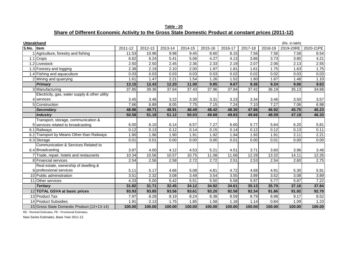**Table - 20 Share of Different Economic Activity to the Gross State Domestic Product at constant prices (2011-12)**

| <b>Uttarakhand</b> |                                                |         |         |         |         |         |         |         |         | (Rs. in lakh) |           |
|--------------------|------------------------------------------------|---------|---------|---------|---------|---------|---------|---------|---------|---------------|-----------|
| S.No.              | Item                                           | 2011-12 | 2012-13 | 2013-14 | 2014-15 | 2015-16 | 2016-17 | 2017-18 | 2018-19 | 2019-20RE     | 2020-21PE |
|                    | Agriculture, forestry and fishing              | 11.53   | 10.96   | 9.98    | 9.45    | 8.60    | 8.15    | 7.56    | 7.56    | 7.58          | 8.54      |
|                    | $1.1$ Crops                                    | 6.62    | 6.24    | 5.41    | 5.06    | 4.27    | 4.13    | 3.86    | 3.73    | 3.80          | 4.21      |
|                    | 1.2 Livestock                                  | 2.50    | 2.50    | 2.45    | 2.36    | 2.33    | 2.19    | 2.07    | 2.06    | 2.13          | 2.55      |
|                    | 1.3 Forestry and logging                       | 2.38    | 2.19    | 2.10    | 2.00    | 1.97    | 1.81    | 1.61    | 1.75    | 1.63          | 1.75      |
|                    | 1.4 Fishing and aquaculture                    | 0.03    | 0.03    | 0.03    | 0.03    | 0.03    | 0.02    | 0.02    | 0.02    | 0.03          | 0.03      |
|                    | $2$ Mining and quarrying                       | 1.61    | 1.47    | 2.21    | 1.54    | 1.26    | 1.52    | 1.80    | 1.67    | 1.48          | 1.10      |
|                    | <b>Primary</b>                                 | 13.15   | 12.43   | 12.20   | 11.00   | 9.85    | 9.67    | 9.36    | 9.24    | 9.06          | 9.63      |
|                    | 3 Manufacturing                                | 37.85   | 39.36   | 37.64   | 37.43   | 37.96   | 37.84   | 37.42   | 36.19   | 35.13         | 34.68     |
|                    | Electricity, gas, water supply & other utility |         |         |         |         |         |         |         |         |               |           |
|                    | services                                       | 3.45    | 3.46    | 3.22    | 3.30    | 3.31    | 3.23    | 3.34    | 3.46    | 3.50          | 3.57      |
|                    | 5 Construction                                 | 7.66    | 6.89    | 8.05    | 7.75    | 7.15    | 7.24    | 7.10    | 7.27    | 7.06          | 6.98      |
|                    | <b>Secondary</b>                               | 48.96   | 49.71   | 48.91   | 48.49   | 48.42   | 48.30   | 47.86   | 46.92   | 45.70         | 45.23     |
|                    | <b>Industry</b>                                | 50.58   | 51.18   | 51.12   | 50.03   | 49.68   | 49.83   | 49.66   | 48.59   | 47.18         | 46.33     |
|                    | Transport, storage, communication &            |         |         |         |         |         |         |         |         |               |           |
|                    | services related to broadcasting               | 6.00    | 6.10    | 6.14    | 6.57    | 7.27    | 6.60    | 5.77    | 5.64    | 6.20          | 5.81      |
| 6.1                | Railways                                       | 0.12    | 0.13    | 0.12    | 0.14    | 0.15    | 0.14    | 0.12    | 0.12    | 0.13          | 0.11      |
|                    | 6.2 Transport by Means Other than Railways     | 1.90    | 1.96    | 1.90    | 1.91    | 1.92    | 1.94    | 1.93    | 1.91    | 2.11          | 2.21      |
|                    | 6.3 Storage                                    | 0.01    | 0.01    | 0.00    | 0.00    | 0.00    | 0.01    | 0.00    | 0.01    | 0.00          | 0.00      |
|                    | Communication & Services Related to            |         |         |         |         |         |         |         |         |               |           |
|                    | 6.4 Broadcasting                               | 3.97    | 4.00    | 4.12    | 4.53    | 5.21    | 4.51    | 3.71    | 3.60    | 3.96          | 3.48      |
|                    | 7 Trade, repair, hotels and restaurants        | 10.34   | 10.56   | 10.57   | 10.75   | 11.08   | 11.66   | 12.28   | 13.32   | 14.11         | 12.26     |
|                    | 8 Financial services                           | 2.54    | 2.56    | 2.58    | 2.72    | 2.72    | 2.51    | 2.53    | 2.54    | 2.60          | 2.75      |
|                    | Real estate, ownership of dwelling &           |         |         |         |         |         |         |         |         |               |           |
|                    | 9 professional services                        | 5.11    | 5.17    | 4.66    | 5.08    | 4.81    | 4.72    | 4.69    | 4.91    | 5.30          | 5.91      |
|                    | 10 Public administration                       | 3.51    | 2.32    | 3.08    | 3.49    | 3.54    | 3.55    | 3.89    | 3.52    | 3.08          | 3.89      |
|                    | 11 Other services                              | 4.33    | 5.00    | 5.42    | 5.51    | 5.50    | 5.58    | 5.97    | 5.77    | 5.87          | 7.22      |
|                    | <b>Tertiary</b>                                | 31.82   | 31.71   | 32.45   | 34.12   | 34.92   | 34.61   | 35.13   | 35.70   | 37.16         | 37.84     |
|                    | 12 TOTAL GSVA at basic prices                  | 93.93   | 93.85   | 93.56   | 93.61   | 93.20   | 92.58   | 92.34   | 91.86   | 91.92         | 92.70     |
|                    | 13 Product Tax                                 | 7.97    | 8.28    | 8.19    | 8.24    | 8.38    | 8.59    | 8.79    | 8.98    | 9.17          | 8.52      |
|                    | 14 Product Subsidies                           | 1.91    | 2.13    | 1.75    | 1.85    | 1.58    | 1.18    | 1.14    | 0.84    | 1.09          | 1.23      |
|                    | 15 Gross State Domestic Product (12+13-14)     | 100.00  | 100.00  | 100.00  | 100.00  | 100.00  | 100.00  | 100.00  | 100.00  | 100.00        | 100.00    |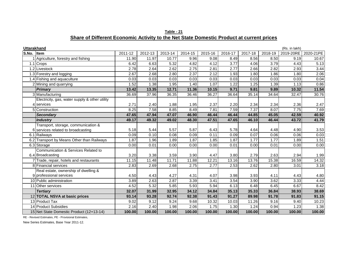**Table - 21 Share of Different Economic Activity to the Net State Domestic Product at current prices**

|       | <b>Uttarakhand</b><br>(Rs. in lakh)            |         |         |         |         |         |         |         |         |           |           |
|-------|------------------------------------------------|---------|---------|---------|---------|---------|---------|---------|---------|-----------|-----------|
| S.No. | Item                                           | 2011-12 | 2012-13 | 2013-14 | 2014-15 | 2015-16 | 2016-17 | 2017-18 | 2018-19 | 2019-20RE | 2020-21PE |
|       | Agriculture, forestry and fishing              | 11.90   | 11.97   | 10.77   | 9.96    | 9.08    | 8.49    | 8.56    | 8.50    | 9.19      | 10.67     |
|       | 1.1 Crops                                      | 6.42    | 6.63    | 5.32    | 4.82    | 4.12    | 3.77    | 4.06    | 3.79    | 4.43      | 5.13      |
|       | 1.2 Livestock                                  | 2.78    | 2.64    | 2.62    | 2.75    | 2.81    | 2.77    | 2.66    | 2.82    | 2.93      | 3.44      |
|       | 1.3 Forestry and logging                       | 2.67    | 2.68    | 2.80    | 2.37    | 2.12    | 1.93    | 1.80    | 1.86    | 1.80      | 2.06      |
|       | 1.4 Fishing and aquaculture                    | 0.03    | 0.03    | 0.03    | 0.03    | 0.03    | 0.03    | 0.03    | 0.03    | 0.03      | 0.04      |
|       | 2 Mining and quarrying                         | 1.52    | 1.38    | 1.95    | 1.40    | 1.07    | 1.22    | 1.25    | 1.39    | 1.13      | 0.86      |
|       | Primary                                        | 13.42   | 13.35   | 12.71   | 11.36   | 10.15   | 9.71    | 9.81    | 9.89    | 10.32     | 11.54     |
|       | 3 Manufacturing                                | 36.69   | 37.96   | 36.35   | 36.46   | 36.27   | 36.64   | 35.14   | 34.64   | 32.47     | 30.76     |
|       | Electricity, gas, water supply & other utility |         |         |         |         |         |         |         |         |           |           |
|       | 4 services                                     | 2.71    | 2.40    | 1.88    | 1.95    | 2.37    | 2.20    | 2.34    | 2.34    | 2.36      | 2.47      |
|       | 5 Construction                                 | 8.25    | 7.58    | 8.85    | 8.49    | 7.81    | 7.59    | 7.37    | 8.07    | 7.75      | 7.69      |
|       | <b>Secondary</b>                               | 47.65   | 47.94   | 47.07   | 46.90   | 46.44   | 46.44   | 44.85   | 45.05   | 42.59     | 40.92     |
|       | <b>Industry</b>                                | 49.17   | 49.32   | 49.02   | 48.30   | 47.51   | 47.65   | 46.10   | 46.44   | 43.72     | 41.79     |
|       | Transport, storage, communication &            |         |         |         |         |         |         |         |         |           |           |
|       | 6 services related to broadcasting             | 5.18    | 5.44    | 5.57    | 5.87    | 6.43    | 5.78    | 4.64    | 4.48    | 4.90      | 3.53      |
|       | 6.1 Railways                                   | 0.09    | 0.10    | 0.08    | 0.09    | 0.11    | 0.09    | 0.07    | 0.06    | 0.06      | 0.03      |
|       | 6.2 Transport by Means Other than Railways     | 1.87    | 1.96    | 1.89    | 1.87    | 1.85    | 1.87    | 1.77    | 1.77    | 1.89      | 1.51      |
|       | 6.3 Storage                                    | 0.00    | 0.01    | 0.00    | 0.00    | 0.00    | 0.01    | 0.00    | 0.01    | 0.00      | 0.00      |
|       | Communication & Services Related to            |         |         |         |         |         |         |         |         |           |           |
|       | 6.4 Broadcasting                               | 3.20    | 3.38    | 3.59    | 3.90    | 4.47    | 3.80    | 2.79    | 2.63    | 2.94      | 1.99      |
|       | 7 Trade, repair, hotels and restaurants        | 11.15   | 11.48   | 11.71   | 11.88   | 12.21   | 13.16   | 13.76   | 15.38   | 16.59     | 14.32     |
|       | 8 Financial services                           | 2.83    | 2.69    | 2.68    | 2.75    | 2.77    | 2.53    | 2.62    | 2.80    | 3.01      | 3.18      |
|       | Real estate, ownership of dwelling &           |         |         |         |         |         |         |         |         |           |           |
|       | 9 professional services                        | 4.50    | 4.43    | 4.27    | 4.31    | 4.07    | 3.98    | 3.93    | 4.11    | 4.43      | 4.80      |
|       | 10 Public administration                       | 3.89    | 2.63    | 2.87    | 3.39    | 3.41    | 3.54    | 3.90    | 3.62    | 3.33      | 4.44      |
|       | 11 Other services                              | 4.52    | 5.32    | 5.85    | 5.93    | 5.94    | 6.13    | 6.48    | 6.45    | 6.67      | 8.42      |
|       | <b>Tertiary</b>                                | 32.07   | 31.99   | 32.95   | 34.12   | 34.84   | 35.13   | 35.33   | 36.84   | 38.93     | 38.69     |
|       | 12 TOTAL NSVA at basic prices                  | 93.14   | 93.28   | 92.74   | 92.38   | 91.43   | 91.27   | 89.98   | 91.78   | 91.83     | 91.15     |
|       | 13 Product Tax                                 | 9.02    | 9.12    | 9.24    | 9.68    | 10.32   | 10.03   | 11.26   | 9.16    | 9.40      | 10.23     |
|       | 14 Product Subsidies                           | 2.16    | 2.40    | 1.98    | 2.06    | 1.75    | 1.30    | 1.24    | 0.94    | 1.23      | 1.38      |
|       | 15 Net State Domestic Product (12+13-14)       | 100.00  | 100.00  | 100.00  | 100.00  | 100.00  | 100.00  | 100.00  | 100.00  | 100.00    | 100.00    |